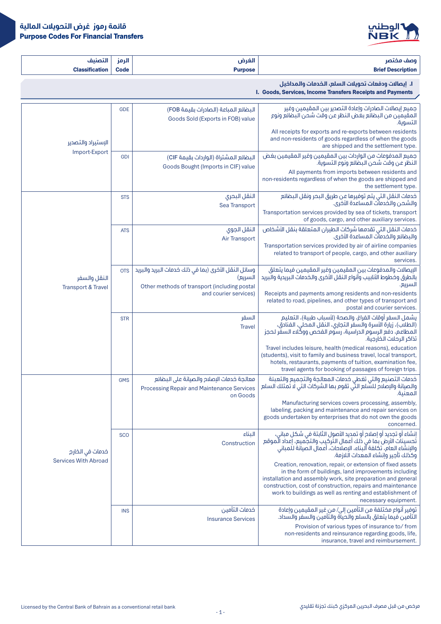

| <b>PERSONAL</b>   | <b>ALC</b> | الغيد   | <b>STATISTICS</b><br>$\sim$ |
|-------------------|------------|---------|-----------------------------|
| <b>Classifica</b> | Code       | Purpose | <b>Brief Description</b>    |

I .**إيصاالت ودفعات تحويالت السلع، الخدمات والمداخيل**

I. Goods, Services, Income Transfers Receipts and Payments

|                                               | <b>GDE</b> | البضائع المباعة (الصادرات بقيمة FOB)<br>Goods Sold (Exports in FOB) value                                      | جميع إيصالات الصادرات وإعادة التصدير بين المقيمين وغير<br>المقيمين من البضائع بغض النظر عن وقت شحن البضائع ونوع<br>التسوية.                                                                                                                                                                                                             |
|-----------------------------------------------|------------|----------------------------------------------------------------------------------------------------------------|-----------------------------------------------------------------------------------------------------------------------------------------------------------------------------------------------------------------------------------------------------------------------------------------------------------------------------------------|
| الاستبراد والتصدير                            |            |                                                                                                                | All receipts for exports and re-exports between residents<br>and non-residents of goods regardless of when the goods<br>are shipped and the settlement type.                                                                                                                                                                            |
| Import-Export                                 | <b>GDI</b> | البضائع المشتراة (الواردات بقيمة CIF)                                                                          | جميع المدفوعات من الواردات بين المقيمين وغير المقيمين بغض<br>النظر عن وقت شحن البضائع ونوع التسوية.                                                                                                                                                                                                                                     |
|                                               |            | Goods Bought (Imports in CIF) value                                                                            | All payments from imports between residents and<br>non-residents regardless of when the goods are shipped and<br>the settlement type.                                                                                                                                                                                                   |
|                                               | <b>STS</b> | النقل البحرى<br>Sea Transport                                                                                  | خدمات النقل التي يتم توفيرها عن طريق البحر ونقل البضائع<br>والشحن والخدمات المساعدة الأخرى.                                                                                                                                                                                                                                             |
|                                               |            |                                                                                                                | Transportation services provided by sea of tickets, transport<br>of goods, cargo, and other auxiliary services.                                                                                                                                                                                                                         |
|                                               | <b>ATS</b> | النقل الجوى<br><b>Air Transport</b>                                                                            | خدمات النقل التي تقدمها شركات الطيران المتعلقة بنقل الأشخاص<br>والبضائع والخدمات المساعدة الأخرى.                                                                                                                                                                                                                                       |
|                                               |            |                                                                                                                | Transportation services provided by air of airline companies<br>related to transport of people, cargo, and other auxiliary<br>services.                                                                                                                                                                                                 |
| النقل والسفر<br><b>Transport &amp; Travel</b> | <b>OTS</b> | وسائل النقل الأخرى (بما في ذلك خدمات البريد والبريد<br>السريع)<br>Other methods of transport (including postal | الإيصالات والمدفوعات بين المقيمين وغير المقيمين فيما يتعلق<br>بالطرق وخطوط الأنابيب وأنواع النقل الأخرى والخدمات البريدية والبريد<br>السريع.                                                                                                                                                                                            |
|                                               |            | and courier services)                                                                                          | Receipts and payments among residents and non-residents<br>related to road, pipelines, and other types of transport and<br>postal and courier services.                                                                                                                                                                                 |
|                                               | <b>STR</b> | السفر<br><b>Travel</b>                                                                                         | يشمل السفر أوقات الفراغ، والصحة (لأسباب طبية)، التعليم<br>(الطلاب)، زيارة الأسرة والسفر التجارى، النقل المحلي، الفنادق،<br>المطاعم، دَفَع الرسوم الدراسية، رَسُوم الفَحَص ووكَّلاء السفَّر لحجز<br>تذاكر الرحلات الخارجية.                                                                                                              |
|                                               |            |                                                                                                                | Travel includes leisure, health (medical reasons), education<br>(students), visit to family and business travel, local transport,<br>hotels, restaurants, payments of tuition, examination fee,<br>travel agents for booking of passages of foreign trips.                                                                              |
|                                               | <b>GMS</b> | معالجة خدمات الإصلام والصيانة على البضائع<br><b>Processing Repair and Maintenance Services</b><br>on Goods     | خدمات التصنيع والتي تغطى خدمات المعالجة والتجميع والتعبئة<br>والصيانة والإصلاح للسَّلع التِّي تقوم بها الشركات التي لَا تَمْتَلَكَ السلع<br>المعنية.                                                                                                                                                                                    |
|                                               |            |                                                                                                                | Manufacturing services covers processing, assembly,<br>labeling, packing and maintenance and repair services on<br>goods undertaken by enterprises that do not own the goods<br>concerned.                                                                                                                                              |
| خدمات في الخارج                               | <b>SCO</b> | الىناء<br>Construction                                                                                         | إنشاء أو تجديد أو إصلاح أو تمديد الأصول الثابتة في شكل مباني،<br>تُحسينات الأرض بما في ذلك أعمال التركيب والتجَّميع، إعداد الَّموقع<br>والإنشاء العام، تكلفة ألبناء، الإصلاحات، أعمال الصيانة للمباني<br>وكذلك تأحير وانشاء المعدات اللازمة.                                                                                            |
| <b>Services With Abroad</b>                   |            |                                                                                                                | Creation, renovation, repair, or extension of fixed assets<br>in the form of buildings, land improvements including<br>installation and assembly work, site preparation and general<br>construction, cost of construction, repairs and maintenance<br>work to buildings as well as renting and establishment of<br>necessary equipment. |
|                                               | <b>INS</b> | خدمات التأمين<br><b>Insurance Services</b>                                                                     | توفير أنواع مختلفة من التأمين إلى/ من غير المقيمين وإعادة<br>التأمين فيما يتعلق بالسلع والحياة والتأمين والسفر والسداد.                                                                                                                                                                                                                 |
|                                               |            |                                                                                                                | Provision of various types of insurance to/from<br>non-residents and reinsurance regarding goods, life,<br>insurance, travel and reimbursement.                                                                                                                                                                                         |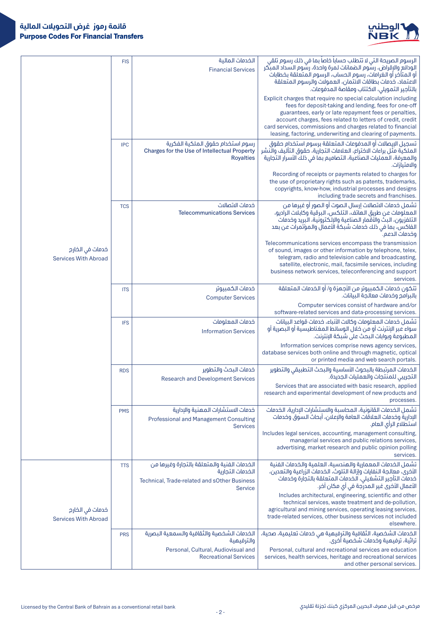

| الخدمات المالية<br>الرسوم الصريحة التي لا تتطلب حسابا خاصا بما في ذلك رسوم تلقي<br><b>FIS</b><br>الودائع والإقراض، رسُّوم الضمانات لمرة واحدة، رسُّوم السداد المبتِّكر<br><b>Financial Services</b><br>أو المتأخر أو الغرامات، رسوم الحساب، الرسوم المتعلقة بخطابات<br>الاعتماد، خدمات بطاقات الائتمان، العمولات والرسوم المتعلقة<br>بالتأجير التمويلي، الاكتتاب ومقاصة المدفوعات.<br>Explicit charges that require no special calculation including<br>fees for deposit-taking and lending, fees for one-off<br>guarantees, early or late repayment fees or penalties,<br>account charges, fees related to letters of credit, credit<br>card services, commissions and charges related to financial<br>leasing, factoring, underwriting and clearing of payments.<br>رسوم استخدام حقوق الملكية الفكرية<br>تسجيل البيصالات آو المدفوعات المتعلقة برسوم استخدام حقوق<br><b>IPC</b><br>الملكية مثَّل براءاتُ الاختراعُ، العلامات التجارية، حقوق التأليف والنَّشر<br>Charges for the Use of Intellectual Property<br>والمعرفة، العمليات الصناعية، التصاميم بما في ذلك الأسرار التجارية<br><b>Royalties</b><br>والامتيازات.<br>Recording of receipts or payments related to charges for<br>the use of proprietary rights such as patents, trademarks,<br>copyrights, know-how, industrial processes and designs<br>including trade secrets and franchises.<br>خدمات الاتصالات<br>تشمل خدمات الاتصالات إرسال الـصوت أو الـصور أو غيرها مـن<br><b>TCS</b><br>المعلومات عن طريق الـهاتف، التلكس، البرقية وكابلات الراديو،<br><b>Telecommunications Services</b><br>التلفزيون، البث والأقمار الصناعية والإلكترونية، البريد وخدمات<br>الفاكس، بما في ذلك خدمات شبكة الأعمال والمؤتمرات عن بعد<br>وخدمات الدعم.<br>Telecommunications services encompass the transmission<br>خدمات في الخارج<br>of sound, images or other information by telephone, telex,<br>telegram, radio and television cable and broadcasting,<br><b>Services With Abroad</b><br>satellite, electronic, mail, facsimile services, including<br>business network services, teleconferencing and support<br>services.<br>تتكون خدمات الكمبيوتر من الأجمزة و/ أو الخدمات المتعلقة<br>خدمات الكمبيوتر<br><b>ITS</b><br>بالبرامج وخدمات معالجة البيانات.<br><b>Computer Services</b><br>Computer services consist of hardware and/or<br>software-related services and data-processing services.<br>خدمات المعلومات<br>تشمل خدمات المعلومات وكالات الأنباء، خدمات قواعد البيانات<br><b>IFS</b><br>سواء عبر الإنترنت أو من خلال الوسائط المغناطيسية أو البصرية أو<br><b>Information Services</b><br>المطبوعة وبوابات البحث على شبكة الإنترنت.<br>Information services comprise news agency services,<br>database services both online and through magnetic, optical<br>or printed media and web search portals.<br>الخدمات المرتبطة بالبحوث الأساسية والبحث التطبيقى والتطوير<br>خدمات البحث والتطوير<br><b>RDS</b><br>التجريبي للمنتجات والعمليات الجديدة.<br><b>Research and Development Services</b><br>Services that are associated with basic research, applied<br>research and experimental development of new products and<br>processes.<br>تشمل الخدمات القانونية، المحاسبة والاستشارات الإدارية، الخدمات<br>خدمات الاستشارات المهنية والإدارية<br><b>PMS</b><br>الادارية وخدمات العلاقات العامة والاعلان، أيحاث السوق وخدمات<br><b>Professional and Management Consulting</b><br>استطلاع الرأى العام.<br><b>Services</b><br>Includes legal services, accounting, management consulting,<br>managerial services and public relations services,<br>advertising, market research and public opinion polling<br>services.<br>تشمل الخدمات المعمارية والمندسية، العلمية والخدمات الفنية<br>الخدمات الفنية والمتعلقة بالتجارة وغيرها من<br><b>TTS</b><br>الأخرى، معالجة النفايات وإزالة التلوث، الخدمات الزراعية والتعدين،<br>الخدمات التجارية<br>خدمات التأجير التشغيلي، الخدمات المتعلقة بالتجارة وخدمات<br>الأعمال الأخرى غير المدرجة في أي مكان آخر.<br>Technical, Trade-related and sOther Business<br><b>Service</b><br>Includes architectural, engineering, scientific and other<br>technical services, waste treatment and de-pollution,<br>agricultural and mining services, operating leasing services,<br>خدمات في الخارج<br>trade-related services, other business services not included<br><b>Services With Abroad</b><br>elsewhere.<br>الخدمات الشخصية والثقافية والسمعية البصرية<br>الخدمات الشخصية، الثقافية والترفيهية هي خدمات تعليمية، صحية،<br>تراثية، ترفيهية وخدمات شخصية أخرى.<br><b>PRS</b><br>والترفيهية<br>Personal, Cultural, Audiovisual and<br>Personal, cultural and recreational services are education<br><b>Recreational Services</b><br>services, health services, heritage and recreational services<br>and other personal services. |  |  |
|---------------------------------------------------------------------------------------------------------------------------------------------------------------------------------------------------------------------------------------------------------------------------------------------------------------------------------------------------------------------------------------------------------------------------------------------------------------------------------------------------------------------------------------------------------------------------------------------------------------------------------------------------------------------------------------------------------------------------------------------------------------------------------------------------------------------------------------------------------------------------------------------------------------------------------------------------------------------------------------------------------------------------------------------------------------------------------------------------------------------------------------------------------------------------------------------------------------------------------------------------------------------------------------------------------------------------------------------------------------------------------------------------------------------------------------------------------------------------------------------------------------------------------------------------------------------------------------------------------------------------------------------------------------------------------------------------------------------------------------------------------------------------------------------------------------------------------------------------------------------------------------------------------------------------------------------------------------------------------------------------------------------------------------------------------------------------------------------------------------------------------------------------------------------------------------------------------------------------------------------------------------------------------------------------------------------------------------------------------------------------------------------------------------------------------------------------------------------------------------------------------------------------------------------------------------------------------------------------------------------------------------------------------------------------------------------------------------------------------------------------------------------------------------------------------------------------------------------------------------------------------------------------------------------------------------------------------------------------------------------------------------------------------------------------------------------------------------------------------------------------------------------------------------------------------------------------------------------------------------------------------------------------------------------------------------------------------------------------------------------------------------------------------------------------------------------------------------------------------------------------------------------------------------------------------------------------------------------------------------------------------------------------------------------------------------------------------------------------------------------------------------------------------------------------------------------------------------------------------------------------------------------------------------------------------------------------------------------------------------------------------------------------------------------------------------------------------------------------------------------------------------------------------------------------------------------------------------------------------------------------------------------------------------------------------------------------------------------------------------------------------------------------------------------------------------------------------------------------------------------------------------------------------------------------------------------------------------------------------------------------------------------------------------------------------------------------------------------------------|--|--|
|                                                                                                                                                                                                                                                                                                                                                                                                                                                                                                                                                                                                                                                                                                                                                                                                                                                                                                                                                                                                                                                                                                                                                                                                                                                                                                                                                                                                                                                                                                                                                                                                                                                                                                                                                                                                                                                                                                                                                                                                                                                                                                                                                                                                                                                                                                                                                                                                                                                                                                                                                                                                                                                                                                                                                                                                                                                                                                                                                                                                                                                                                                                                                                                                                                                                                                                                                                                                                                                                                                                                                                                                                                                                                                                                                                                                                                                                                                                                                                                                                                                                                                                                                                                                                                                                                                                                                                                                                                                                                                                                                                                                                                                                                                                                 |  |  |
|                                                                                                                                                                                                                                                                                                                                                                                                                                                                                                                                                                                                                                                                                                                                                                                                                                                                                                                                                                                                                                                                                                                                                                                                                                                                                                                                                                                                                                                                                                                                                                                                                                                                                                                                                                                                                                                                                                                                                                                                                                                                                                                                                                                                                                                                                                                                                                                                                                                                                                                                                                                                                                                                                                                                                                                                                                                                                                                                                                                                                                                                                                                                                                                                                                                                                                                                                                                                                                                                                                                                                                                                                                                                                                                                                                                                                                                                                                                                                                                                                                                                                                                                                                                                                                                                                                                                                                                                                                                                                                                                                                                                                                                                                                                                 |  |  |
|                                                                                                                                                                                                                                                                                                                                                                                                                                                                                                                                                                                                                                                                                                                                                                                                                                                                                                                                                                                                                                                                                                                                                                                                                                                                                                                                                                                                                                                                                                                                                                                                                                                                                                                                                                                                                                                                                                                                                                                                                                                                                                                                                                                                                                                                                                                                                                                                                                                                                                                                                                                                                                                                                                                                                                                                                                                                                                                                                                                                                                                                                                                                                                                                                                                                                                                                                                                                                                                                                                                                                                                                                                                                                                                                                                                                                                                                                                                                                                                                                                                                                                                                                                                                                                                                                                                                                                                                                                                                                                                                                                                                                                                                                                                                 |  |  |
|                                                                                                                                                                                                                                                                                                                                                                                                                                                                                                                                                                                                                                                                                                                                                                                                                                                                                                                                                                                                                                                                                                                                                                                                                                                                                                                                                                                                                                                                                                                                                                                                                                                                                                                                                                                                                                                                                                                                                                                                                                                                                                                                                                                                                                                                                                                                                                                                                                                                                                                                                                                                                                                                                                                                                                                                                                                                                                                                                                                                                                                                                                                                                                                                                                                                                                                                                                                                                                                                                                                                                                                                                                                                                                                                                                                                                                                                                                                                                                                                                                                                                                                                                                                                                                                                                                                                                                                                                                                                                                                                                                                                                                                                                                                                 |  |  |
|                                                                                                                                                                                                                                                                                                                                                                                                                                                                                                                                                                                                                                                                                                                                                                                                                                                                                                                                                                                                                                                                                                                                                                                                                                                                                                                                                                                                                                                                                                                                                                                                                                                                                                                                                                                                                                                                                                                                                                                                                                                                                                                                                                                                                                                                                                                                                                                                                                                                                                                                                                                                                                                                                                                                                                                                                                                                                                                                                                                                                                                                                                                                                                                                                                                                                                                                                                                                                                                                                                                                                                                                                                                                                                                                                                                                                                                                                                                                                                                                                                                                                                                                                                                                                                                                                                                                                                                                                                                                                                                                                                                                                                                                                                                                 |  |  |
|                                                                                                                                                                                                                                                                                                                                                                                                                                                                                                                                                                                                                                                                                                                                                                                                                                                                                                                                                                                                                                                                                                                                                                                                                                                                                                                                                                                                                                                                                                                                                                                                                                                                                                                                                                                                                                                                                                                                                                                                                                                                                                                                                                                                                                                                                                                                                                                                                                                                                                                                                                                                                                                                                                                                                                                                                                                                                                                                                                                                                                                                                                                                                                                                                                                                                                                                                                                                                                                                                                                                                                                                                                                                                                                                                                                                                                                                                                                                                                                                                                                                                                                                                                                                                                                                                                                                                                                                                                                                                                                                                                                                                                                                                                                                 |  |  |
|                                                                                                                                                                                                                                                                                                                                                                                                                                                                                                                                                                                                                                                                                                                                                                                                                                                                                                                                                                                                                                                                                                                                                                                                                                                                                                                                                                                                                                                                                                                                                                                                                                                                                                                                                                                                                                                                                                                                                                                                                                                                                                                                                                                                                                                                                                                                                                                                                                                                                                                                                                                                                                                                                                                                                                                                                                                                                                                                                                                                                                                                                                                                                                                                                                                                                                                                                                                                                                                                                                                                                                                                                                                                                                                                                                                                                                                                                                                                                                                                                                                                                                                                                                                                                                                                                                                                                                                                                                                                                                                                                                                                                                                                                                                                 |  |  |
|                                                                                                                                                                                                                                                                                                                                                                                                                                                                                                                                                                                                                                                                                                                                                                                                                                                                                                                                                                                                                                                                                                                                                                                                                                                                                                                                                                                                                                                                                                                                                                                                                                                                                                                                                                                                                                                                                                                                                                                                                                                                                                                                                                                                                                                                                                                                                                                                                                                                                                                                                                                                                                                                                                                                                                                                                                                                                                                                                                                                                                                                                                                                                                                                                                                                                                                                                                                                                                                                                                                                                                                                                                                                                                                                                                                                                                                                                                                                                                                                                                                                                                                                                                                                                                                                                                                                                                                                                                                                                                                                                                                                                                                                                                                                 |  |  |
|                                                                                                                                                                                                                                                                                                                                                                                                                                                                                                                                                                                                                                                                                                                                                                                                                                                                                                                                                                                                                                                                                                                                                                                                                                                                                                                                                                                                                                                                                                                                                                                                                                                                                                                                                                                                                                                                                                                                                                                                                                                                                                                                                                                                                                                                                                                                                                                                                                                                                                                                                                                                                                                                                                                                                                                                                                                                                                                                                                                                                                                                                                                                                                                                                                                                                                                                                                                                                                                                                                                                                                                                                                                                                                                                                                                                                                                                                                                                                                                                                                                                                                                                                                                                                                                                                                                                                                                                                                                                                                                                                                                                                                                                                                                                 |  |  |
|                                                                                                                                                                                                                                                                                                                                                                                                                                                                                                                                                                                                                                                                                                                                                                                                                                                                                                                                                                                                                                                                                                                                                                                                                                                                                                                                                                                                                                                                                                                                                                                                                                                                                                                                                                                                                                                                                                                                                                                                                                                                                                                                                                                                                                                                                                                                                                                                                                                                                                                                                                                                                                                                                                                                                                                                                                                                                                                                                                                                                                                                                                                                                                                                                                                                                                                                                                                                                                                                                                                                                                                                                                                                                                                                                                                                                                                                                                                                                                                                                                                                                                                                                                                                                                                                                                                                                                                                                                                                                                                                                                                                                                                                                                                                 |  |  |
|                                                                                                                                                                                                                                                                                                                                                                                                                                                                                                                                                                                                                                                                                                                                                                                                                                                                                                                                                                                                                                                                                                                                                                                                                                                                                                                                                                                                                                                                                                                                                                                                                                                                                                                                                                                                                                                                                                                                                                                                                                                                                                                                                                                                                                                                                                                                                                                                                                                                                                                                                                                                                                                                                                                                                                                                                                                                                                                                                                                                                                                                                                                                                                                                                                                                                                                                                                                                                                                                                                                                                                                                                                                                                                                                                                                                                                                                                                                                                                                                                                                                                                                                                                                                                                                                                                                                                                                                                                                                                                                                                                                                                                                                                                                                 |  |  |
|                                                                                                                                                                                                                                                                                                                                                                                                                                                                                                                                                                                                                                                                                                                                                                                                                                                                                                                                                                                                                                                                                                                                                                                                                                                                                                                                                                                                                                                                                                                                                                                                                                                                                                                                                                                                                                                                                                                                                                                                                                                                                                                                                                                                                                                                                                                                                                                                                                                                                                                                                                                                                                                                                                                                                                                                                                                                                                                                                                                                                                                                                                                                                                                                                                                                                                                                                                                                                                                                                                                                                                                                                                                                                                                                                                                                                                                                                                                                                                                                                                                                                                                                                                                                                                                                                                                                                                                                                                                                                                                                                                                                                                                                                                                                 |  |  |
|                                                                                                                                                                                                                                                                                                                                                                                                                                                                                                                                                                                                                                                                                                                                                                                                                                                                                                                                                                                                                                                                                                                                                                                                                                                                                                                                                                                                                                                                                                                                                                                                                                                                                                                                                                                                                                                                                                                                                                                                                                                                                                                                                                                                                                                                                                                                                                                                                                                                                                                                                                                                                                                                                                                                                                                                                                                                                                                                                                                                                                                                                                                                                                                                                                                                                                                                                                                                                                                                                                                                                                                                                                                                                                                                                                                                                                                                                                                                                                                                                                                                                                                                                                                                                                                                                                                                                                                                                                                                                                                                                                                                                                                                                                                                 |  |  |
|                                                                                                                                                                                                                                                                                                                                                                                                                                                                                                                                                                                                                                                                                                                                                                                                                                                                                                                                                                                                                                                                                                                                                                                                                                                                                                                                                                                                                                                                                                                                                                                                                                                                                                                                                                                                                                                                                                                                                                                                                                                                                                                                                                                                                                                                                                                                                                                                                                                                                                                                                                                                                                                                                                                                                                                                                                                                                                                                                                                                                                                                                                                                                                                                                                                                                                                                                                                                                                                                                                                                                                                                                                                                                                                                                                                                                                                                                                                                                                                                                                                                                                                                                                                                                                                                                                                                                                                                                                                                                                                                                                                                                                                                                                                                 |  |  |
|                                                                                                                                                                                                                                                                                                                                                                                                                                                                                                                                                                                                                                                                                                                                                                                                                                                                                                                                                                                                                                                                                                                                                                                                                                                                                                                                                                                                                                                                                                                                                                                                                                                                                                                                                                                                                                                                                                                                                                                                                                                                                                                                                                                                                                                                                                                                                                                                                                                                                                                                                                                                                                                                                                                                                                                                                                                                                                                                                                                                                                                                                                                                                                                                                                                                                                                                                                                                                                                                                                                                                                                                                                                                                                                                                                                                                                                                                                                                                                                                                                                                                                                                                                                                                                                                                                                                                                                                                                                                                                                                                                                                                                                                                                                                 |  |  |
|                                                                                                                                                                                                                                                                                                                                                                                                                                                                                                                                                                                                                                                                                                                                                                                                                                                                                                                                                                                                                                                                                                                                                                                                                                                                                                                                                                                                                                                                                                                                                                                                                                                                                                                                                                                                                                                                                                                                                                                                                                                                                                                                                                                                                                                                                                                                                                                                                                                                                                                                                                                                                                                                                                                                                                                                                                                                                                                                                                                                                                                                                                                                                                                                                                                                                                                                                                                                                                                                                                                                                                                                                                                                                                                                                                                                                                                                                                                                                                                                                                                                                                                                                                                                                                                                                                                                                                                                                                                                                                                                                                                                                                                                                                                                 |  |  |
|                                                                                                                                                                                                                                                                                                                                                                                                                                                                                                                                                                                                                                                                                                                                                                                                                                                                                                                                                                                                                                                                                                                                                                                                                                                                                                                                                                                                                                                                                                                                                                                                                                                                                                                                                                                                                                                                                                                                                                                                                                                                                                                                                                                                                                                                                                                                                                                                                                                                                                                                                                                                                                                                                                                                                                                                                                                                                                                                                                                                                                                                                                                                                                                                                                                                                                                                                                                                                                                                                                                                                                                                                                                                                                                                                                                                                                                                                                                                                                                                                                                                                                                                                                                                                                                                                                                                                                                                                                                                                                                                                                                                                                                                                                                                 |  |  |
|                                                                                                                                                                                                                                                                                                                                                                                                                                                                                                                                                                                                                                                                                                                                                                                                                                                                                                                                                                                                                                                                                                                                                                                                                                                                                                                                                                                                                                                                                                                                                                                                                                                                                                                                                                                                                                                                                                                                                                                                                                                                                                                                                                                                                                                                                                                                                                                                                                                                                                                                                                                                                                                                                                                                                                                                                                                                                                                                                                                                                                                                                                                                                                                                                                                                                                                                                                                                                                                                                                                                                                                                                                                                                                                                                                                                                                                                                                                                                                                                                                                                                                                                                                                                                                                                                                                                                                                                                                                                                                                                                                                                                                                                                                                                 |  |  |
|                                                                                                                                                                                                                                                                                                                                                                                                                                                                                                                                                                                                                                                                                                                                                                                                                                                                                                                                                                                                                                                                                                                                                                                                                                                                                                                                                                                                                                                                                                                                                                                                                                                                                                                                                                                                                                                                                                                                                                                                                                                                                                                                                                                                                                                                                                                                                                                                                                                                                                                                                                                                                                                                                                                                                                                                                                                                                                                                                                                                                                                                                                                                                                                                                                                                                                                                                                                                                                                                                                                                                                                                                                                                                                                                                                                                                                                                                                                                                                                                                                                                                                                                                                                                                                                                                                                                                                                                                                                                                                                                                                                                                                                                                                                                 |  |  |
|                                                                                                                                                                                                                                                                                                                                                                                                                                                                                                                                                                                                                                                                                                                                                                                                                                                                                                                                                                                                                                                                                                                                                                                                                                                                                                                                                                                                                                                                                                                                                                                                                                                                                                                                                                                                                                                                                                                                                                                                                                                                                                                                                                                                                                                                                                                                                                                                                                                                                                                                                                                                                                                                                                                                                                                                                                                                                                                                                                                                                                                                                                                                                                                                                                                                                                                                                                                                                                                                                                                                                                                                                                                                                                                                                                                                                                                                                                                                                                                                                                                                                                                                                                                                                                                                                                                                                                                                                                                                                                                                                                                                                                                                                                                                 |  |  |
|                                                                                                                                                                                                                                                                                                                                                                                                                                                                                                                                                                                                                                                                                                                                                                                                                                                                                                                                                                                                                                                                                                                                                                                                                                                                                                                                                                                                                                                                                                                                                                                                                                                                                                                                                                                                                                                                                                                                                                                                                                                                                                                                                                                                                                                                                                                                                                                                                                                                                                                                                                                                                                                                                                                                                                                                                                                                                                                                                                                                                                                                                                                                                                                                                                                                                                                                                                                                                                                                                                                                                                                                                                                                                                                                                                                                                                                                                                                                                                                                                                                                                                                                                                                                                                                                                                                                                                                                                                                                                                                                                                                                                                                                                                                                 |  |  |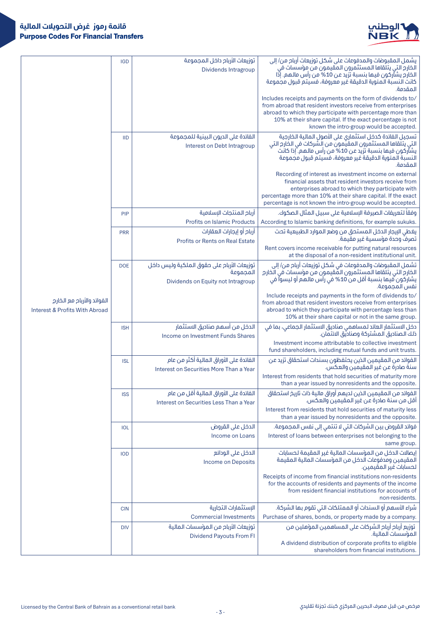

|                                                                         | <b>IGD</b> | توزيعات الأربام داخل المجموعة<br><b>Dividends Intragroup</b>                                 | يشمل المقبوضات والمدفوعات على شكل توزيعات أرباح من/ إلى<br>الخارج التي يتلقاها المستثمرون المقيمون من مؤسسات في<br>الخارج يشآركون فيها بنسبة تزيد عن 10% من رأس مالهم. إِذَا<br>كانت النسبة المئوية الدقيقة غير معروفة، فسيتم قبول مجموعة<br>المقدمة.                                               |
|-------------------------------------------------------------------------|------------|----------------------------------------------------------------------------------------------|-----------------------------------------------------------------------------------------------------------------------------------------------------------------------------------------------------------------------------------------------------------------------------------------------------|
|                                                                         |            |                                                                                              | Includes receipts and payments on the form of dividends to/<br>from abroad that resident investors receive from enterprises<br>abroad to which they participate with percentage more than<br>10% at their share capital. If the exact percentage is not<br>known the intro-group would be accepted. |
|                                                                         | <b>IID</b> | الفائدة على الديون البينية للمجموعة<br>Interest on Debt Intragroup                           | تسجيل الفائدة كدخل استثماري على الأصول المالية الخارجية<br>التي يتلقاها المستثمرون المقيَّمون من الشركات في الخارج التي<br>يشآركون فيها بنسبة تزيد عن 10% من رأس مالهم. ۖ إذا كانت<br>النسبة المئوية الدقيقة غير معروفة، فسيتم قبول مجموعة<br>المقدمة.                                              |
|                                                                         |            |                                                                                              | Recording of interest as investment income on external<br>financial assets that resident investors receive from<br>enterprises abroad to which they participate with<br>percentage more than 10% at their share capital. If the exact<br>percentage is not known the intro-group would be accepted. |
|                                                                         | PIP        | أربام المنتجات الإسلامية                                                                     | وفقاً لتعريفات الصيرفة الإسلامية على سبيل المثال الصكوك.                                                                                                                                                                                                                                            |
|                                                                         | <b>PRR</b> | <b>Profits on Islamic Products</b><br>أرباح أو إيجارات العقارات                              | According to Islamic banking definitions, for example sukuks.<br>يغطي الإيجار الدخل المستحق من وضع الموارد الطبيعية تحت                                                                                                                                                                             |
|                                                                         |            | Profits or Rents on Real Estate                                                              | تَصرفٌ وحدة مؤسسية غير مقيمة.                                                                                                                                                                                                                                                                       |
|                                                                         |            |                                                                                              | Rent covers income receivable for putting natural resources<br>at the disposal of a non-resident institutional unit.                                                                                                                                                                                |
|                                                                         | <b>DOE</b> | توزيعات الأرباح على حقوق الملكية وليس داخل<br>المجموعة<br>Dividends on Equity not Intragroup | تشمل المقبوضات والمدفوعات في شكل توزيعات أرباح من/ إلى<br>الخارج التي يتلقاها المستثمرون المَّقيمون من مؤسسات في الَّخارج<br>يشارِكُون فَيْمَا بِنسبة أقل منّ 10% فَي رأسٌ مَالهُم أو ليسوآ في<br>نُفسَ المجموعة.                                                                                   |
| الفوائد والأرباح مع الخارج<br><b>Interest &amp; Profits With Abroad</b> |            |                                                                                              | Include receipts and payments in the form of dividends to/<br>from abroad that resident investors receive from enterprises<br>abroad to which they participate with percentage less than<br>10% at their share capital or not in the same group.                                                    |
|                                                                         | <b>ISH</b> | الدخل من أسهم صناديق الاستثمار<br>Income on Investment Funds Shares                          | دخل الاستثمار العائد لمساهمي صناديق الاستثمار الجماعي، بما في<br>ذلك الصناديق المشتركة وصناديق الائتمان.                                                                                                                                                                                            |
|                                                                         |            |                                                                                              | Investment income attributable to collective investment<br>fund shareholders, including mutual funds and unit trusts.                                                                                                                                                                               |
|                                                                         | <b>ISL</b> | الفائدة على الأوراق المالية أكثر من عام<br>Interest on Securities More Than a Year           | الفوائد من المقيمين الذين يحتفظون بسندات استحقاق تزيد عن<br>سنة صادرة عن غير المقيمين والعكس.                                                                                                                                                                                                       |
|                                                                         |            |                                                                                              | Interest from residents that hold securities of maturity more<br>than a year issued by nonresidents and the opposite.                                                                                                                                                                               |
|                                                                         | <b>ISS</b> | الفائدة على الأوراق المالية أقل من عام<br>Interest on Securities Less Than a Year            | الفوائد من المقيمين الذين لديهم أوراق مالية ذات تاريخ استحقاق<br>أقل من سنة صادرة عن غير المقيمين والعكس.                                                                                                                                                                                           |
|                                                                         |            |                                                                                              | Interest from residents that hold securities of maturity less<br>than a year issued by nonresidents and the opposite.                                                                                                                                                                               |
|                                                                         | <b>IOL</b> | الدخل على القروض                                                                             | فوائد القروض بين الشركات التي لا تنتمي إلى نفس المجموعة.                                                                                                                                                                                                                                            |
|                                                                         |            | Income on Loans                                                                              | Interest of loans between enterprises not belonging to the<br>same group.                                                                                                                                                                                                                           |
|                                                                         | <b>IOD</b> | الدخل على الودائع<br><b>Income on Deposits</b>                                               | إيصالات الدخل من المؤسسات المالية غير المقيمة لحسابات<br>المقيمين ومدفوعات الدخل من المؤسسات المالية المقيمة<br>لحسابات غير المقيمين.                                                                                                                                                               |
|                                                                         |            |                                                                                              | Receipts of income from financial institutions non-residents<br>for the accounts of residents and payments of the income<br>from resident financial institutions for accounts of<br>non-residents.                                                                                                  |
|                                                                         | <b>CIN</b> | الإستثمارات التجارية                                                                         | شراء الأسمم أو السندات أو الممتلكات التي تقوم بها الشركة.                                                                                                                                                                                                                                           |
|                                                                         |            | <b>Commercial Investments</b>                                                                | Purchase of shares, bonds, or property made by a company.                                                                                                                                                                                                                                           |
|                                                                         | <b>DIV</b> | توزيعات الأربام من المؤسسات المالية<br><b>Dividend Payouts From FI</b>                       | توزيع أربام أربام الشركات على المساهمين المؤهلين من<br>المؤسسات المالية.                                                                                                                                                                                                                            |
|                                                                         |            |                                                                                              | A dividend distribution of corporate profits to eligible<br>shareholders from financial institutions.                                                                                                                                                                                               |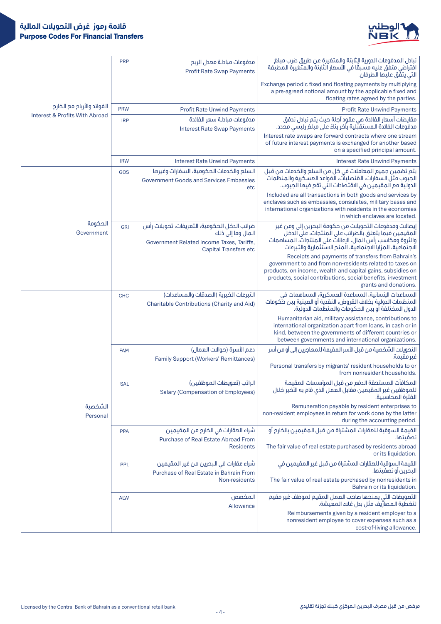

|                                | <b>PRP</b> | مدفوعات مبادلة معدل الربح<br><b>Profit Rate Swap Payments</b>                                                                                  | تبادل المدفوعات الدورية الِثابتة والمتغيرة عن طريق ضرب مبلغ<br>افتراضي متفق عليه فسبقًا في الأسعار الثابتة والمتغيرة المطبقة<br>التي يتقَّق عليها الطرفان.                                                                                                           |
|--------------------------------|------------|------------------------------------------------------------------------------------------------------------------------------------------------|----------------------------------------------------------------------------------------------------------------------------------------------------------------------------------------------------------------------------------------------------------------------|
|                                |            |                                                                                                                                                | Exchange periodic fixed and floating payments by multiplying<br>a pre-agreed notional amount by the applicable fixed and<br>floating rates agreed by the parties.                                                                                                    |
| الفوائد والأرباح مع الخارج     | <b>PRW</b> | <b>Profit Rate Unwind Payments</b>                                                                                                             | <b>Profit Rate Unwind Payments</b>                                                                                                                                                                                                                                   |
| Interest & Profits With Abroad | <b>IRP</b> | مدفوعات مىادلة سعر الفائدة                                                                                                                     | مقايضات أسعار الفائدة هي عقود آجلة حيث يتم تبادل تدفق                                                                                                                                                                                                                |
|                                |            | <b>Interest Rate Swap Payments</b>                                                                                                             | مدفوعات الفائدة المستقبّلية بآخر بناءً على مبلغ رئيسي محدد.<br>Interest rate swaps are forward contracts where one stream<br>of future interest payments is exchanged for another based<br>on a specified principal amount.                                          |
|                                | <b>IRW</b> | <b>Interest Rate Unwind Payments</b>                                                                                                           | <b>Interest Rate Unwind Payments</b>                                                                                                                                                                                                                                 |
|                                | GOS        | السلع والخدمات الحكومية، السفارات وغيرها<br><b>Government Goods and Services Embassies</b><br>etc                                              | يتم تضمين جميع المعاملات في كل من السلع والخدمات من قبل<br>الجيوب مثل السفارات، القنصليات، القواعد العسكرية والمنظمات<br>الدولية مع المقيمين في الاقتصادات التي تقع فيها الجيوب.                                                                                     |
|                                |            |                                                                                                                                                | Included are all transactions in both goods and services by<br>enclaves such as embassies, consulates, military bases and<br>international organizations with residents in the economies<br>in which enclaves are located.                                           |
| الحكومة<br>Government          | GRI        | ضرائب الدخل الحكومية، التعريفات، تحويلات رأس<br>المال وما إلى ذلك<br>Government Related Income Taxes, Tariffs,<br><b>Capital Transfers etc</b> | إيصالات ومدفوعات التحويلات من حكومة البحرين إلى ومن غير<br>أَلْمقيمين فيمًا يتعلق بِالضرائبِ على المنتجات، عَلَى الدخلِ<br>والثروة ومكاسب رأس المال، الإعانات على المنتجات، المساهمات<br>الاجتماعية، المزايا الاجتماعية، المنح الاستثمارية والتبرعات                 |
|                                |            |                                                                                                                                                | Receipts and payments of transfers from Bahrain's<br>government to and from non-residents related to taxes on<br>products, on income, wealth and capital gains, subsidies on<br>products, social contributions, social benefits, investment<br>grants and donations. |
|                                | <b>CHC</b> | التبرعات الخيرية (الصدقات والمساعدات)                                                                                                          | المساعدات الإنسانية، المساعدة العسكرية، المساهمات في                                                                                                                                                                                                                 |
|                                |            | <b>Charitable Contributions (Charity and Aid)</b>                                                                                              | المنظمات الدولية بخلاف القروض، النقديّة أو العينية بين حُكومات<br>الدول المختلفة أو بين الحكومات والمنظمات الدولية.                                                                                                                                                  |
|                                |            |                                                                                                                                                | Humanitarian aid, military assistance, contributions to<br>international organization apart from loans, in cash or in<br>kind, between the governments of different countries or<br>between governments and international organizations.                             |
|                                | <b>FAM</b> | دعم الأسرة (حوالات العمال)                                                                                                                     | التحويلات الشخصية من قبل الأسر المقيمة للمهاجرين إلى أو من أسر                                                                                                                                                                                                       |
|                                |            | <b>Family Support (Workers' Remittances)</b>                                                                                                   | غير مقيمة.<br>Personal transfers by migrants' resident households to or<br>from nonresident households.                                                                                                                                                              |
|                                | <b>SAL</b> | الراتب (تعويضات الموظفين)                                                                                                                      | المكافآت المستحقة الدفع من قبل المؤسسات المقيمة                                                                                                                                                                                                                      |
|                                |            | <b>Salary (Compensation of Employees)</b>                                                                                                      | للموظفين غير المقيمين مقابل العمل الذي قام به الأخير خلال<br>الفترة المحاسبية.                                                                                                                                                                                       |
| الشخصية<br>Personal            |            |                                                                                                                                                | Remuneration payable by resident enterprises to<br>non-resident employees in return for work done by the latter<br>during the accounting period.                                                                                                                     |
|                                | <b>PPA</b> | شراء العقارات في الخارج من المقيمين                                                                                                            | القيمة السوقية للعقارات المشتراة من قبل المقيمين بالخارج أو                                                                                                                                                                                                          |
|                                |            | Purchase of Real Estate Abroad From                                                                                                            | تصفيتها.                                                                                                                                                                                                                                                             |
|                                |            | <b>Residents</b>                                                                                                                               | The fair value of real estate purchased by residents abroad<br>or its liquidation.                                                                                                                                                                                   |
|                                | <b>PPL</b> | شراء عقارات في البحرين من غير المقيمين                                                                                                         | القيمة السوقية للعقارات المشتراة من قبل غير المقيمين في<br>البحرين آو تصفيتها.                                                                                                                                                                                       |
|                                |            | Purchase of Real Estate in Bahrain From<br>Non-residents                                                                                       | The fair value of real estate purchased by nonresidents in<br>Bahrain or its liquidation.                                                                                                                                                                            |
|                                | <b>ALW</b> | المخصص                                                                                                                                         | التعويضات التي يمنحها صاحب العمل المقيم لموظف غير مقيم<br>لتغطية المصاريف مثل بدل غلاء المعيشة.                                                                                                                                                                      |
|                                |            | Allowance                                                                                                                                      | Reimbursements given by a resident employer to a<br>nonresident employee to cover expenses such as a<br>cost-of-living allowance.                                                                                                                                    |
|                                |            |                                                                                                                                                |                                                                                                                                                                                                                                                                      |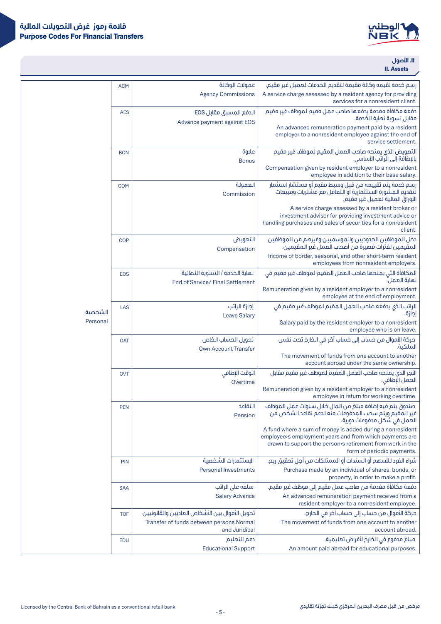

## .II**األصول II.** Assets

| رسم خدمة تقيمه وكالة مقيمة لتقديم الخدمات لعميل غير مقيم.                                                                                                                             | عمولات الوكالة                                            | <b>ACM</b> |          |
|---------------------------------------------------------------------------------------------------------------------------------------------------------------------------------------|-----------------------------------------------------------|------------|----------|
| A service charge assessed by a resident agency for providing<br>services for a nonresident client.                                                                                    | <b>Agency Commissions</b>                                 |            |          |
| دفعة مكافأة مقدمة يدفعها صاحب عمل مقيم لموظف غير مقيم<br>مقابل تسوية نماية الخدمة.                                                                                                    | الدفع المسبق مقابل EOS<br>Advance payment against EOS     | <b>AES</b> |          |
| An advanced remuneration payment paid by a resident<br>employer to a nonresident employee against the end of<br>service settlement.                                                   |                                                           |            |          |
| التعويض الذى يمنحه صاحب العمل المقيم لموظف غير مقيم                                                                                                                                   | علاوة                                                     | <b>BON</b> |          |
| بالإضافة إلى الراتب الأساسي.<br>Compensation given by resident employer to a nonresident                                                                                              | <b>Bonus</b>                                              |            |          |
| employee in addition to their base salary.<br>رسم خدمة يتم تقييمه من قبل وسيط مقيم أو مستشار استثمار                                                                                  | العمولة                                                   | <b>COM</b> |          |
| لتقديم المشورة الاستثمارية أو التعامل مع مشتريات ومبيعات<br>الأوراق المالية لعميل غير مقيم.                                                                                           | Commission                                                |            |          |
| A service charge assessed by a resident broker or<br>investment advisor for providing investment advice or<br>handling purchases and sales of securities for a nonresident<br>client. |                                                           |            |          |
| دخل الموظفين الحدوديين والموسميين وغيرهم من الموظفين<br>المقيمين لفترات قصيرة من أصحاب العمل غير المقيمين.                                                                            | التعويض<br>Compensation                                   | <b>COP</b> |          |
| Income of border, seasonal, and other short-term resident<br>employees from nonresident employers.                                                                                    |                                                           |            |          |
| المكافأة التي يمنحها صاحب العمل المقيم لموظف غير مقيم في<br>نماية العمل.                                                                                                              | نماية الخدمة / التسوية النمائية                           | <b>EOS</b> |          |
| Remuneration given by a resident employer to a nonresident<br>employee at the end of employment.                                                                                      | End of Service/ Final Settlement                          |            |          |
| الراتب الذي يدفعه صاحب العمل المقيم لموظف غير مقيم فى<br>إجازة.                                                                                                                       | إجازة الراتب                                              | LAS        | الشخصية  |
| Salary paid by the resident employer to a nonresident<br>employee who is on leave.                                                                                                    | <b>Leave Salary</b>                                       |            | Personal |
| حركة الأموال من حساب إلى حساب آخر في الخارج تحت نفس                                                                                                                                   | تحويل الحساب الخاص                                        | <b>OAT</b> |          |
| الملكىة.<br>The movement of funds from one account to another<br>account abroad under the same ownership.                                                                             | <b>Own Account Transfer</b>                               |            |          |
| الأجر الذي يمنحه صاحب العمل المقيم لموظف غير مقيم مقابل                                                                                                                               | الوقت الإضافي                                             | <b>OVT</b> |          |
| العمل الإضافي.<br>Remuneration given by a resident employer to a nonresident                                                                                                          | Overtime                                                  |            |          |
| employee in return for working overtime.                                                                                                                                              |                                                           |            |          |
| صندوق يتم فيه إضافة مبلغ من المال خلال سنوات عمل الموظف<br>غير المُقيَم ويتُم سحب المدفوعات منَّه لدعَم تقاعد الشخص من<br>العمل في شكل مدفوعات دورية.                                 | التقاعد<br>Pension                                        | <b>PEN</b> |          |
| A fund where a sum of money is added during a nonresident<br>employee's employment years and from which payments are<br>drawn to support the person's retirement from work in the     |                                                           |            |          |
| form of periodic payments.                                                                                                                                                            |                                                           |            |          |
| شراء الفرد للأسهم أو السندات أو الممتلكات من أجل تحقيق ربح.<br>Purchase made by an individual of shares, bonds, or                                                                    | الإستثمارات الشخصية<br><b>Personal Investments</b>        | <b>PIN</b> |          |
| property, in order to make a profit.                                                                                                                                                  |                                                           |            |          |
| دفعة مكافأة مقدمة من صاحب عمل مقيم إلى موظف غير مقيم.                                                                                                                                 | سلفه على الراتب                                           | <b>SAA</b> |          |
| An advanced remuneration payment received from a<br>resident employer to a nonresident employee.                                                                                      | <b>Salary Advance</b>                                     |            |          |
| حركة الأموال من حساب إلى حساب آخر في الخارج.                                                                                                                                          | تحويل الأموال بين الأشخاص العاديين والقانونيين            | <b>TOF</b> |          |
| The movement of funds from one account to another<br>account abroad.                                                                                                                  | Transfer of funds between persons Normal<br>and Juridical |            |          |
| مبلغ مدفوع في الخارج لأغراض تعليمية.                                                                                                                                                  | دعم التعليم                                               | <b>EDU</b> |          |
| An amount paid abroad for educational purposes.                                                                                                                                       | <b>Educational Support</b>                                |            |          |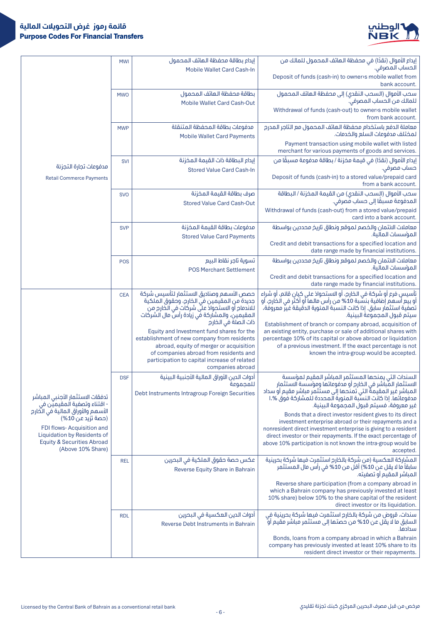

|                                                                                                                                                                                  | <b>MWI</b> | إيداع بطاقة محفظة الـهاتف الـمحمول<br>Mobile Wallet Card Cash-In                                                                                                                                                                                  | إيداع الأموال (نقدًا) في محفظة الـهاتف الـمـحمول لـلمالـك من<br>ألَّحساب المصرفي.                                                                                                                                                                                                                                                        |
|----------------------------------------------------------------------------------------------------------------------------------------------------------------------------------|------------|---------------------------------------------------------------------------------------------------------------------------------------------------------------------------------------------------------------------------------------------------|------------------------------------------------------------------------------------------------------------------------------------------------------------------------------------------------------------------------------------------------------------------------------------------------------------------------------------------|
|                                                                                                                                                                                  |            |                                                                                                                                                                                                                                                   | Deposit of funds (cash-in) to owners mobile wallet from<br>bank account.                                                                                                                                                                                                                                                                 |
|                                                                                                                                                                                  | <b>MWO</b> | بطاقة محفظة الهاتف المحمول                                                                                                                                                                                                                        | سحب الأموال (السحب النقدى) إلى محفظة الـهاتف الـمحمول<br>للمالك من الحساب المصرفي".                                                                                                                                                                                                                                                      |
|                                                                                                                                                                                  |            | <b>Mobile Wallet Card Cash-Out</b>                                                                                                                                                                                                                | Withdrawal of funds (cash-out) to owner's mobile wallet<br>from bank account.                                                                                                                                                                                                                                                            |
|                                                                                                                                                                                  | <b>MWP</b> | مدفوعات بطاقة المحفظة المتنقلة<br><b>Mobile Wallet Card Payments</b>                                                                                                                                                                              | معاملة الدفع باستخدام محفظة الـهاتف الـمـحمـول مع الـتاجر الـمـدرج<br>لمختلف مدفوعات السلع والخدمات.                                                                                                                                                                                                                                     |
|                                                                                                                                                                                  |            |                                                                                                                                                                                                                                                   | Payment transaction using mobile wallet with listed<br>merchant for various payments of goods and services.                                                                                                                                                                                                                              |
| مدفوعات تجارة التجزئة                                                                                                                                                            | <b>SVI</b> | إيداع البطاقة ذات القيمة المخزنة                                                                                                                                                                                                                  | إيداع الأموال (نقدًا) في قيمة مخزنة / بطاقة مدفوعة مسبقًا من<br>حساب مصرفي.                                                                                                                                                                                                                                                              |
| <b>Retail Commerce Payments</b>                                                                                                                                                  |            | <b>Stored Value Card Cash-In</b>                                                                                                                                                                                                                  | Deposit of funds (cash-in) to a stored value/prepaid card<br>from a bank account.                                                                                                                                                                                                                                                        |
|                                                                                                                                                                                  | <b>SVO</b> | صرف بطاقة القيمة المخزنة<br><b>Stored Value Card Cash-Out</b>                                                                                                                                                                                     | سحب الأموال (السحب النقدى) من القيمة المخزنة / البطاقة<br>المدفوعة مسبقًا إلى حساب قصرفي.                                                                                                                                                                                                                                                |
|                                                                                                                                                                                  |            |                                                                                                                                                                                                                                                   | Withdrawal of funds (cash-out) from a stored value/prepaid<br>card into a bank account.                                                                                                                                                                                                                                                  |
|                                                                                                                                                                                  | <b>SVP</b> | مدفوعات بطاقة القيمة المخزنة                                                                                                                                                                                                                      | معاملات الائتمان والخصم لموقع ونطاق تاريخ محددين بواسطة<br>المؤسسات المالية.                                                                                                                                                                                                                                                             |
|                                                                                                                                                                                  |            | <b>Stored Value Card Payments</b>                                                                                                                                                                                                                 | Credit and debit transactions for a specified location and<br>date range made by financial institutions.                                                                                                                                                                                                                                 |
|                                                                                                                                                                                  | POS        | تسوية تاجر نقاط البيع<br><b>POS Merchant Settlement</b>                                                                                                                                                                                           | معاملات الائتمان والخصم لموقع ونطاق تاريخ محددين بواسطة<br>المؤسسات المالية.                                                                                                                                                                                                                                                             |
|                                                                                                                                                                                  |            |                                                                                                                                                                                                                                                   | Credit and debit transactions for a specified location and<br>date range made by financial institutions.                                                                                                                                                                                                                                 |
|                                                                                                                                                                                  | <b>CEA</b> | حصص الأسمم وصناديق الاستثمار لتأسيس شركة<br>جديدة من المقيمين في الخارج، وحقوق الملكية<br>لْلانْدَمَامِ أَو الاستَحوَاذَ عَلَى شَرِكَاتٍ في الْخَارِمِ مِنْ<br>المقيمين، والمشاركة في زيادة رأس مال الشركات<br>ذات الصلة في الخارج                | تأسيس فرع أو شركة في الخارج، أو الاستحواذ على كيان قائم، أو شراء<br>أو بيع أسهم إضافية بنسَّبة 10% من رأس مالـها أو أكثر في الـخارج، أو<br>تَصَفِّيةَ استثمار سابق. إذا كانت النسبة المنوية الدقيقة غيرٌ معروفة،<br>سيتم قبول المجموعة البينية.                                                                                          |
|                                                                                                                                                                                  |            | Equity and Investment fund shares for the<br>establishment of new company from residents<br>abroad, equity of merger or acquisition<br>of companies abroad from residents and<br>participation to capital increase of related<br>companies abroad | Establishment of branch or company abroad, acquisition of<br>an existing entity, purchase or sale of additional shares with<br>percentage 10% of its capital or above abroad or liquidation<br>of a previous investment. If the exact percentage is not<br>known the intra-group would be accepted.                                      |
| تدفقات الاستثمار الأجنبي المباشر<br>- اقتناء وتصفية المقيميّن في                                                                                                                 | <b>DSF</b> | أدوات الدين الأوراق المالية الأجنبية البينية<br>للمحموعة<br>Debt Instruments Intragroup Foreign Securities                                                                                                                                        | السندات التى يمنحها المستثمر المباشر المقيم لمؤسسة<br>.<br>الاستثمار المباشر في الخارج أو مدفوعاتها ومؤسسة الاستثمار<br>المباشر غير المقيمةْ التي تمنحها إلى مستثمر مباشر مقيم أو سداد<br>مدفوعاتها. إذا كانت النسَّبة المئوية المحددة للمشاركة فوق %.ا<br>غير معروفة، فسيتم قبول المجموعة البينية.                                      |
| الأسمم والأوراق المالية في الخارج<br>(حصة تزيد عن 10%)<br>FDI flows-Acquisition and<br>Liquidation by Residents of<br><b>Equity &amp; Securities Abroad</b><br>(Above 10% Share) |            |                                                                                                                                                                                                                                                   | Bonds that a direct investor resident gives to its direct<br>investment enterprise abroad or their repayments and a<br>nonresident direct investment enterprise is giving to a resident<br>direct investor or their repayments. If the exact percentage of<br>above 10% participation is not known the intra-group would be<br>accepted. |
|                                                                                                                                                                                  | <b>REL</b> | عكس حصة حقوق الملكية في البحرين<br>Reverse Equity Share in Bahrain                                                                                                                                                                                | المشاركة العكسية (من شركة بالخارج استثمرت فيها شركة بحرينية<br>سابقاً ما لا يقل عن 10%) أقل من 10% في رأس مال المستثمر<br>المباشر المقيم أو تصفيته.                                                                                                                                                                                      |
|                                                                                                                                                                                  |            |                                                                                                                                                                                                                                                   | Reverse share participation (from a company abroad in<br>which a Bahrain company has previously invested at least<br>10% share) below 10% to the share capital of the resident<br>direct investor or its liquidation.                                                                                                                    |
|                                                                                                                                                                                  | <b>RDL</b> | أدوات الدين العكسية فى البحرين<br>Reverse Debt Instruments in Bahrain                                                                                                                                                                             | سندات، قروض من شركة بالخارج استثمرت فيها شركة بحرينية في<br>السابق ما لَا يقل عن 10% من حصتها إلى مستثمر مباشر مُقيم أو<br>سدادها.                                                                                                                                                                                                       |
|                                                                                                                                                                                  |            |                                                                                                                                                                                                                                                   | Bonds, loans from a company abroad in which a Bahrain<br>company has previously invested at least 10% share to its<br>resident direct investor or their repayments.                                                                                                                                                                      |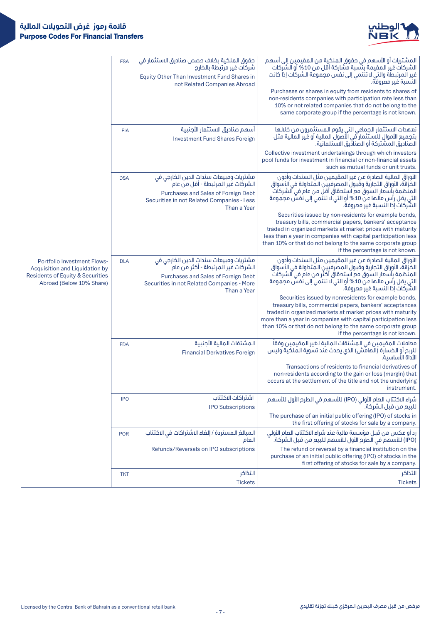

|                                                                                                                                      | <b>FSA</b> | حقوق الملكية بخلاف حصص صناديق الاستثمار في<br>شركات غير مرتبطة بالخارج<br>Equity Other Than Investment Fund Shares in<br>not Related Companies Abroad                            | المشتريات أو الأسهم في حقوق الملكية من المقيمين إلى أسهم<br>الشركات غير المقيمة بنسبة مشاركة أقل من 10% أو الشركات<br>غير المرتبطة والتي لا تنتمي إلى نفس مجموعة الشركات إذاً كانت<br>النسبة غير معروفة.<br>Purchases or shares in equity from residents to shares of<br>non-residents companies with participation rate less than<br>10% or not related companies that do not belong to the<br>same corporate group if the percentage is not known.                                                                                                                                                                                                                                   |
|--------------------------------------------------------------------------------------------------------------------------------------|------------|----------------------------------------------------------------------------------------------------------------------------------------------------------------------------------|----------------------------------------------------------------------------------------------------------------------------------------------------------------------------------------------------------------------------------------------------------------------------------------------------------------------------------------------------------------------------------------------------------------------------------------------------------------------------------------------------------------------------------------------------------------------------------------------------------------------------------------------------------------------------------------|
|                                                                                                                                      | <b>FIA</b> | أسهم صناديق الاستثمار الأجنبية<br><b>Investment Fund Shares Foreign</b>                                                                                                          | تعهدات الاستثمار الجماعي التي يقوم المستثمرون من خلالها<br>بتجميع الأموال للاستثمار في الأصول المالية أو غير المالية مثل<br>الصناديق المشتركة أو الصناديق الاستئمانية.<br>Collective investment undertakings through which investors<br>pool funds for investment in financial or non-financial assets<br>such as mutual funds or unit trusts.                                                                                                                                                                                                                                                                                                                                         |
|                                                                                                                                      | <b>DSA</b> | مشتريات ومبيعات سندات الدين الخارجي في<br>الشركات غير المرتبطة - أقل من عام<br>Purchases and Sales of Foreign Debt<br>Securities in not Related Companies - Less<br>Than a Year  | الأوراق المالية الصادرة عن غير المقيمين مثل السندات وأذون<br>الخُزَانَةَ، الأوراق التجارية وقُبولُ المصرفيين المتداولة في الأسواق<br>المنظمة بأسعار السوق مع استحقاق أقل من عام في الشركات<br>التي يقل رأس مالها عن 10% أو التي لا تنتّمي إلى نفسٌ مجموعة<br>الشركات إذا النسبة غير معروفة.<br>Securities issued by non-residents for example bonds,<br>treasury bills, commercial papers, bankers' acceptance<br>traded in organized markets at market prices with maturity<br>less than a year in companies with capital participation less<br>than 10% or that do not belong to the same corporate group                                                                            |
| <b>Portfolio Investment Flows-</b><br>Acquisition and Liquidation by<br>Residents of Equity & Securities<br>Abroad (Below 10% Share) | <b>DLA</b> | مشتريات ومبيعات سندات الدين الخارجي في<br>الشركات غير المرتبطة - أكثر من عام<br>Purchases and Sales of Foreign Debt<br>Securities in not Related Companies - More<br>Than a Year | if the percentage is not known.<br>الأوراق المالية الصادرة عن غير المقيمين مثل السندات وأذون<br>الخزانة، الأوراق التجارية وقبول المصرفيين المتداولة في الأسواق<br>المنظمة بأسعار السوق مع استحقاق أكثر من عام في الشركات<br>التي يقل رأس مآلها عن 10% أو التي لا تنتمي إلى نفسٌ مجموعة<br>الشَّرْكَاتَ إِذَا الَّنسية غيرٍ معروفةً.<br>Securities issued by nonresidents for example bonds,<br>treasury bills, commercial papers, bankers' acceptances<br>traded in organized markets at market prices with maturity<br>more than a year in companies with capital participation less<br>than 10% or that do not belong to the same corporate group<br>if the percentage is not known. |
|                                                                                                                                      | <b>FDA</b> | المشتقات المالية الأجنبية<br><b>Financial Derivatives Foreign</b>                                                                                                                | معاملات المقيمين في المشتقات المالية لغير المقيمين وفقاً<br>للربح أو الخسارة (الهامش) الذي يحدث عند تسوية الملكية وليس<br>الأداة الأساسىة.<br>Transactions of residents to financial derivatives of<br>non-residents according to the gain or loss (margin) that<br>occurs at the settlement of the title and not the underlying<br>instrument.                                                                                                                                                                                                                                                                                                                                        |
|                                                                                                                                      | <b>IPO</b> | اشتراكات الاكتتاب<br><b>IPO Subscriptions</b>                                                                                                                                    | شراء الاكتتاب العام الأولى (IPO) للأسهم في الطرم الأول للأسهم<br>للبيع من قبل الشركة.<br>The purchase of an initial public offering (IPO) of stocks in<br>the first offering of stocks for sale by a company.                                                                                                                                                                                                                                                                                                                                                                                                                                                                          |
|                                                                                                                                      | <b>POR</b> | المبالغ المستردة / إلغاء الاشتراكات في الاكتتاب<br>العام                                                                                                                         | رد أو عكس من قبل مؤسسة مالية عند شراء الاكتتاب العام الأولي<br>(IPO) للأسهم في الطرح الأول للأسهم للبيع من قبل الشركة.                                                                                                                                                                                                                                                                                                                                                                                                                                                                                                                                                                 |
|                                                                                                                                      |            | Refunds/Reversals on IPO subscriptions                                                                                                                                           | The refund or reversal by a financial institution on the<br>purchase of an initial public offering (IPO) of stocks in the<br>first offering of stocks for sale by a company.                                                                                                                                                                                                                                                                                                                                                                                                                                                                                                           |
|                                                                                                                                      | <b>TKT</b> | التذاكر<br><b>Tickets</b>                                                                                                                                                        | التذاكر<br><b>Tickets</b>                                                                                                                                                                                                                                                                                                                                                                                                                                                                                                                                                                                                                                                              |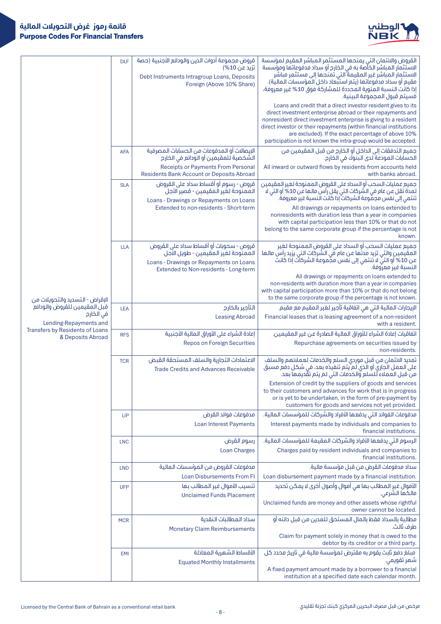

| <b>DLF</b><br>الاستثمار المباشر الخآصة به في الخارج أو سداد مدفوعاتها ومؤسسة<br>تزيد عن 10%)<br>الاستثمار المباشر غير المقيمة التي تمنحها إلى مستثمر مباشر<br>Debt Instruments Intragroup Loans, Deposits<br>مقيم أو سداد مدفوعاتها (يتم استبّعاد داخل المؤسسات المالية).<br>Foreign (Above 10% Share)<br>إذا كانت النسبة المئوية المحددة للمشاركة فوق 10% غير معروفة،<br>فسيتم قبول المجموعة البينية.<br>Loans and credit that a direct investor resident gives to its<br>direct investment enterprise abroad or their repayments and<br>nonresident direct investment enterprise is giving to a resident<br>direct investor or their repayments (within financial institutions<br>are excluded). If the exact percentage of above 10%<br>participation is not known the intra-group would be accepted.<br>جميع التدفقات إلى الداخل أو الخارج من قبل المقيمين من<br>الإيصالات أو المدفوعات من الحسابات المصرفية<br><b>AFA</b><br>الشخصية للمقيمين أو الودائع في الخارج<br>الحسابات المودعة لدى البنوك في الخارج.<br>Receipts or Payments From Personal<br>All inward or outward flows by residents from accounts held<br><b>Residents Bank Account or Deposits Abroad</b><br>with banks abroad.<br>قروض - رسوم أو أقساط سداد على القروض<br>جميع عمليات السحب أو السداد على القروض الممنوحة لغير المقيمين<br><b>SLA</b><br>لمدة تقل عن عام في الشركات التي يقل رأس مالها عن 10% أو التي لا<br>الممنوحة لغير المقيمين - قصير الأجل<br>تنتمي إلى نفس مجمَّوعة الشركاتِّ إذا كانت النسبة غير معروفة.<br>Loans - Drawings or Repayments on Loans<br>Extended to non-residents - Short-term<br>All drawings or repayments on loans extended to<br>nonresidents with duration less than a year in companies<br>with capital participation less than 10% or that do not<br>belong to the same corporate group if the percentage is not<br>known.<br>قروض - سحوبات أو أقساط سداد على القروض<br>جميع عمليات السحب أو السداد على القروض الممنوحة لغير<br><b>LLA</b><br>الممنوحة لغير المقيمين - طويل الأَجل<br>المقيمين والتي تزيد مدتها عن عام في الشركات التي يزيد رأس مالها<br>عن 10% أو التي لا تنتمي إلى نفس مجَّموعة الشركات إذا كانت<br>Loans - Drawings or Repayments on Loans<br>النسبة غير معروفة.<br>Extended to Non-residents - Long-term<br>All drawings or repayments on loans extended to<br>non-residents with duration more than a year in companies<br>with capital participation more than 10% or that do not belong<br>to the same corporate group if the percentage is not known.<br>الإقراض - التسديد والتحويلات من<br>قبل المقيمين للقروض والودائع<br>التأجير بالخارج<br>الإيجارات المالية التي هي اتفاقية تأجير لغير المقيم مع مقيم.<br><b>LEA</b><br>في الخارج<br><b>Leasing Abroad</b><br>Financial leases that is leasing agreement of a non-resident<br>Lending-Repayments and<br>with a resident.<br>Transfers by Residents of Loans<br>اتفاقيات إعادة الشراء للأوراق المالية الصادرة عن غير المقيمين.<br>إعادة الشراء على الأوراق المالية الأجنبية<br><b>RFS</b><br>& Deposits Abroad<br>Repos on Foreign Securities<br>Repurchase agreements on securities issued by<br>non-residents.<br>تمديد الائتمان من قبل موردي السلع والخدمات لعملائهم والسلف<br>الاعتمادات التجارية والسلف المستحقة القبض<br><b>TCR</b><br>على العمل الجاري أو الذي لم ّيتم تنفيذه بعد، في شكل دفع مسبق<br><b>Trade Credits and Advances Receivable</b><br>من قبل العملاء للسلع والخدمات التي لم يتم تقَّديمها بعد.<br>Extension of credit by the suppliers of goods and services<br>to their customers and advances for work that is in progress<br>or is yet to be undertaken, in the form of pre-payment by<br>customers for goods and services not yet provided.<br>مدفوعات الفوائد التي يدفعها الأفراد والشركات للمؤسسات المالية.<br>مدفوعات فوائد القرض<br><b>LIP</b><br>Interest payments made by individuals and companies to<br>Loan Interest Payments<br>financial institutions.<br>الرسوم التي يدفعها الأفراد والشركات المقيمة للمؤسسات المالية.<br>رسوم القرض<br><b>LNC</b><br>Charges paid by resident individuals and companies to<br><b>Loan Charges</b><br>financial institutions.<br>مدفوعات القروض من المؤسسات المالية<br>سداد مدفوعات القرض من قبل مؤسسة مالية.<br><b>LND</b><br><b>Loan Disbursements From FI</b><br>Loan disbursement payment made by a financial institution.<br>الأموال غيرِ المطالب بها هي أموال وأصول أخرى لا يمكن تحديد<br>تنسيب الأموال غير المطالب بها<br><b>UFP</b><br>مالكَهَا الشَّرْعي.<br><b>Unclaimed Funds Placement</b><br>Unclaimed funds are money and other assets whose rightful<br>owner cannot be located.<br>سداد المطالبات النقدية<br>مطالبة بالسداد فقط بالمال المستحق للمدين من قبل دائنه أو<br><b>MCR</b><br>طرف ثالث.<br><b>Monetary Claim Reimbursements</b><br>Claim for payment solely in money that is owed to the<br>debtor by its creditor or a third party.<br>الأقساط الشهرية المعادلة<br>مبلغ دفع ثابت يقوم به مقترض لمؤسسة مالية في تاريخ محدد كل<br><b>EMI</b><br>شمر تقویمی.<br><b>Equated Monthly Installments</b><br>A fixed payment amount made by a borrower to a financial<br>institution at a specified date each calendar month. |  |                                                |                                                             |
|------------------------------------------------------------------------------------------------------------------------------------------------------------------------------------------------------------------------------------------------------------------------------------------------------------------------------------------------------------------------------------------------------------------------------------------------------------------------------------------------------------------------------------------------------------------------------------------------------------------------------------------------------------------------------------------------------------------------------------------------------------------------------------------------------------------------------------------------------------------------------------------------------------------------------------------------------------------------------------------------------------------------------------------------------------------------------------------------------------------------------------------------------------------------------------------------------------------------------------------------------------------------------------------------------------------------------------------------------------------------------------------------------------------------------------------------------------------------------------------------------------------------------------------------------------------------------------------------------------------------------------------------------------------------------------------------------------------------------------------------------------------------------------------------------------------------------------------------------------------------------------------------------------------------------------------------------------------------------------------------------------------------------------------------------------------------------------------------------------------------------------------------------------------------------------------------------------------------------------------------------------------------------------------------------------------------------------------------------------------------------------------------------------------------------------------------------------------------------------------------------------------------------------------------------------------------------------------------------------------------------------------------------------------------------------------------------------------------------------------------------------------------------------------------------------------------------------------------------------------------------------------------------------------------------------------------------------------------------------------------------------------------------------------------------------------------------------------------------------------------------------------------------------------------------------------------------------------------------------------------------------------------------------------------------------------------------------------------------------------------------------------------------------------------------------------------------------------------------------------------------------------------------------------------------------------------------------------------------------------------------------------------------------------------------------------------------------------------------------------------------------------------------------------------------------------------------------------------------------------------------------------------------------------------------------------------------------------------------------------------------------------------------------------------------------------------------------------------------------------------------------------------------------------------------------------------------------------------------------------------------------------------------------------------------------------------------------------------------------------------------------------------------------------------------------------------------------------------------------------------------------------------------------------------------------------------------------------------------------------------------------------------------------------------------------------------------------------------------------------------------------------------------------------------------------------------------------------------------------------------------------------------------------------------------------------------------------------------------------------------------------------------------------------------------------------------------------------------------------------|--|------------------------------------------------|-------------------------------------------------------------|
|                                                                                                                                                                                                                                                                                                                                                                                                                                                                                                                                                                                                                                                                                                                                                                                                                                                                                                                                                                                                                                                                                                                                                                                                                                                                                                                                                                                                                                                                                                                                                                                                                                                                                                                                                                                                                                                                                                                                                                                                                                                                                                                                                                                                                                                                                                                                                                                                                                                                                                                                                                                                                                                                                                                                                                                                                                                                                                                                                                                                                                                                                                                                                                                                                                                                                                                                                                                                                                                                                                                                                                                                                                                                                                                                                                                                                                                                                                                                                                                                                                                                                                                                                                                                                                                                                                                                                                                                                                                                                                                                                                                                                                                                                                                                                                                                                                                                                                                                                                                                                                                                                                                  |  | قروض مجموعة أدوات الدين والودائع الأجنبية (حصة | القروض والائتمان التى يمنحها المستثمر المباشر المقيم لمؤسسة |
|                                                                                                                                                                                                                                                                                                                                                                                                                                                                                                                                                                                                                                                                                                                                                                                                                                                                                                                                                                                                                                                                                                                                                                                                                                                                                                                                                                                                                                                                                                                                                                                                                                                                                                                                                                                                                                                                                                                                                                                                                                                                                                                                                                                                                                                                                                                                                                                                                                                                                                                                                                                                                                                                                                                                                                                                                                                                                                                                                                                                                                                                                                                                                                                                                                                                                                                                                                                                                                                                                                                                                                                                                                                                                                                                                                                                                                                                                                                                                                                                                                                                                                                                                                                                                                                                                                                                                                                                                                                                                                                                                                                                                                                                                                                                                                                                                                                                                                                                                                                                                                                                                                                  |  |                                                |                                                             |
|                                                                                                                                                                                                                                                                                                                                                                                                                                                                                                                                                                                                                                                                                                                                                                                                                                                                                                                                                                                                                                                                                                                                                                                                                                                                                                                                                                                                                                                                                                                                                                                                                                                                                                                                                                                                                                                                                                                                                                                                                                                                                                                                                                                                                                                                                                                                                                                                                                                                                                                                                                                                                                                                                                                                                                                                                                                                                                                                                                                                                                                                                                                                                                                                                                                                                                                                                                                                                                                                                                                                                                                                                                                                                                                                                                                                                                                                                                                                                                                                                                                                                                                                                                                                                                                                                                                                                                                                                                                                                                                                                                                                                                                                                                                                                                                                                                                                                                                                                                                                                                                                                                                  |  |                                                |                                                             |
|                                                                                                                                                                                                                                                                                                                                                                                                                                                                                                                                                                                                                                                                                                                                                                                                                                                                                                                                                                                                                                                                                                                                                                                                                                                                                                                                                                                                                                                                                                                                                                                                                                                                                                                                                                                                                                                                                                                                                                                                                                                                                                                                                                                                                                                                                                                                                                                                                                                                                                                                                                                                                                                                                                                                                                                                                                                                                                                                                                                                                                                                                                                                                                                                                                                                                                                                                                                                                                                                                                                                                                                                                                                                                                                                                                                                                                                                                                                                                                                                                                                                                                                                                                                                                                                                                                                                                                                                                                                                                                                                                                                                                                                                                                                                                                                                                                                                                                                                                                                                                                                                                                                  |  |                                                |                                                             |
|                                                                                                                                                                                                                                                                                                                                                                                                                                                                                                                                                                                                                                                                                                                                                                                                                                                                                                                                                                                                                                                                                                                                                                                                                                                                                                                                                                                                                                                                                                                                                                                                                                                                                                                                                                                                                                                                                                                                                                                                                                                                                                                                                                                                                                                                                                                                                                                                                                                                                                                                                                                                                                                                                                                                                                                                                                                                                                                                                                                                                                                                                                                                                                                                                                                                                                                                                                                                                                                                                                                                                                                                                                                                                                                                                                                                                                                                                                                                                                                                                                                                                                                                                                                                                                                                                                                                                                                                                                                                                                                                                                                                                                                                                                                                                                                                                                                                                                                                                                                                                                                                                                                  |  |                                                |                                                             |
|                                                                                                                                                                                                                                                                                                                                                                                                                                                                                                                                                                                                                                                                                                                                                                                                                                                                                                                                                                                                                                                                                                                                                                                                                                                                                                                                                                                                                                                                                                                                                                                                                                                                                                                                                                                                                                                                                                                                                                                                                                                                                                                                                                                                                                                                                                                                                                                                                                                                                                                                                                                                                                                                                                                                                                                                                                                                                                                                                                                                                                                                                                                                                                                                                                                                                                                                                                                                                                                                                                                                                                                                                                                                                                                                                                                                                                                                                                                                                                                                                                                                                                                                                                                                                                                                                                                                                                                                                                                                                                                                                                                                                                                                                                                                                                                                                                                                                                                                                                                                                                                                                                                  |  |                                                |                                                             |
|                                                                                                                                                                                                                                                                                                                                                                                                                                                                                                                                                                                                                                                                                                                                                                                                                                                                                                                                                                                                                                                                                                                                                                                                                                                                                                                                                                                                                                                                                                                                                                                                                                                                                                                                                                                                                                                                                                                                                                                                                                                                                                                                                                                                                                                                                                                                                                                                                                                                                                                                                                                                                                                                                                                                                                                                                                                                                                                                                                                                                                                                                                                                                                                                                                                                                                                                                                                                                                                                                                                                                                                                                                                                                                                                                                                                                                                                                                                                                                                                                                                                                                                                                                                                                                                                                                                                                                                                                                                                                                                                                                                                                                                                                                                                                                                                                                                                                                                                                                                                                                                                                                                  |  |                                                |                                                             |
|                                                                                                                                                                                                                                                                                                                                                                                                                                                                                                                                                                                                                                                                                                                                                                                                                                                                                                                                                                                                                                                                                                                                                                                                                                                                                                                                                                                                                                                                                                                                                                                                                                                                                                                                                                                                                                                                                                                                                                                                                                                                                                                                                                                                                                                                                                                                                                                                                                                                                                                                                                                                                                                                                                                                                                                                                                                                                                                                                                                                                                                                                                                                                                                                                                                                                                                                                                                                                                                                                                                                                                                                                                                                                                                                                                                                                                                                                                                                                                                                                                                                                                                                                                                                                                                                                                                                                                                                                                                                                                                                                                                                                                                                                                                                                                                                                                                                                                                                                                                                                                                                                                                  |  |                                                |                                                             |
|                                                                                                                                                                                                                                                                                                                                                                                                                                                                                                                                                                                                                                                                                                                                                                                                                                                                                                                                                                                                                                                                                                                                                                                                                                                                                                                                                                                                                                                                                                                                                                                                                                                                                                                                                                                                                                                                                                                                                                                                                                                                                                                                                                                                                                                                                                                                                                                                                                                                                                                                                                                                                                                                                                                                                                                                                                                                                                                                                                                                                                                                                                                                                                                                                                                                                                                                                                                                                                                                                                                                                                                                                                                                                                                                                                                                                                                                                                                                                                                                                                                                                                                                                                                                                                                                                                                                                                                                                                                                                                                                                                                                                                                                                                                                                                                                                                                                                                                                                                                                                                                                                                                  |  |                                                |                                                             |
|                                                                                                                                                                                                                                                                                                                                                                                                                                                                                                                                                                                                                                                                                                                                                                                                                                                                                                                                                                                                                                                                                                                                                                                                                                                                                                                                                                                                                                                                                                                                                                                                                                                                                                                                                                                                                                                                                                                                                                                                                                                                                                                                                                                                                                                                                                                                                                                                                                                                                                                                                                                                                                                                                                                                                                                                                                                                                                                                                                                                                                                                                                                                                                                                                                                                                                                                                                                                                                                                                                                                                                                                                                                                                                                                                                                                                                                                                                                                                                                                                                                                                                                                                                                                                                                                                                                                                                                                                                                                                                                                                                                                                                                                                                                                                                                                                                                                                                                                                                                                                                                                                                                  |  |                                                |                                                             |
|                                                                                                                                                                                                                                                                                                                                                                                                                                                                                                                                                                                                                                                                                                                                                                                                                                                                                                                                                                                                                                                                                                                                                                                                                                                                                                                                                                                                                                                                                                                                                                                                                                                                                                                                                                                                                                                                                                                                                                                                                                                                                                                                                                                                                                                                                                                                                                                                                                                                                                                                                                                                                                                                                                                                                                                                                                                                                                                                                                                                                                                                                                                                                                                                                                                                                                                                                                                                                                                                                                                                                                                                                                                                                                                                                                                                                                                                                                                                                                                                                                                                                                                                                                                                                                                                                                                                                                                                                                                                                                                                                                                                                                                                                                                                                                                                                                                                                                                                                                                                                                                                                                                  |  |                                                |                                                             |
|                                                                                                                                                                                                                                                                                                                                                                                                                                                                                                                                                                                                                                                                                                                                                                                                                                                                                                                                                                                                                                                                                                                                                                                                                                                                                                                                                                                                                                                                                                                                                                                                                                                                                                                                                                                                                                                                                                                                                                                                                                                                                                                                                                                                                                                                                                                                                                                                                                                                                                                                                                                                                                                                                                                                                                                                                                                                                                                                                                                                                                                                                                                                                                                                                                                                                                                                                                                                                                                                                                                                                                                                                                                                                                                                                                                                                                                                                                                                                                                                                                                                                                                                                                                                                                                                                                                                                                                                                                                                                                                                                                                                                                                                                                                                                                                                                                                                                                                                                                                                                                                                                                                  |  |                                                |                                                             |
|                                                                                                                                                                                                                                                                                                                                                                                                                                                                                                                                                                                                                                                                                                                                                                                                                                                                                                                                                                                                                                                                                                                                                                                                                                                                                                                                                                                                                                                                                                                                                                                                                                                                                                                                                                                                                                                                                                                                                                                                                                                                                                                                                                                                                                                                                                                                                                                                                                                                                                                                                                                                                                                                                                                                                                                                                                                                                                                                                                                                                                                                                                                                                                                                                                                                                                                                                                                                                                                                                                                                                                                                                                                                                                                                                                                                                                                                                                                                                                                                                                                                                                                                                                                                                                                                                                                                                                                                                                                                                                                                                                                                                                                                                                                                                                                                                                                                                                                                                                                                                                                                                                                  |  |                                                |                                                             |
|                                                                                                                                                                                                                                                                                                                                                                                                                                                                                                                                                                                                                                                                                                                                                                                                                                                                                                                                                                                                                                                                                                                                                                                                                                                                                                                                                                                                                                                                                                                                                                                                                                                                                                                                                                                                                                                                                                                                                                                                                                                                                                                                                                                                                                                                                                                                                                                                                                                                                                                                                                                                                                                                                                                                                                                                                                                                                                                                                                                                                                                                                                                                                                                                                                                                                                                                                                                                                                                                                                                                                                                                                                                                                                                                                                                                                                                                                                                                                                                                                                                                                                                                                                                                                                                                                                                                                                                                                                                                                                                                                                                                                                                                                                                                                                                                                                                                                                                                                                                                                                                                                                                  |  |                                                |                                                             |
|                                                                                                                                                                                                                                                                                                                                                                                                                                                                                                                                                                                                                                                                                                                                                                                                                                                                                                                                                                                                                                                                                                                                                                                                                                                                                                                                                                                                                                                                                                                                                                                                                                                                                                                                                                                                                                                                                                                                                                                                                                                                                                                                                                                                                                                                                                                                                                                                                                                                                                                                                                                                                                                                                                                                                                                                                                                                                                                                                                                                                                                                                                                                                                                                                                                                                                                                                                                                                                                                                                                                                                                                                                                                                                                                                                                                                                                                                                                                                                                                                                                                                                                                                                                                                                                                                                                                                                                                                                                                                                                                                                                                                                                                                                                                                                                                                                                                                                                                                                                                                                                                                                                  |  |                                                |                                                             |
|                                                                                                                                                                                                                                                                                                                                                                                                                                                                                                                                                                                                                                                                                                                                                                                                                                                                                                                                                                                                                                                                                                                                                                                                                                                                                                                                                                                                                                                                                                                                                                                                                                                                                                                                                                                                                                                                                                                                                                                                                                                                                                                                                                                                                                                                                                                                                                                                                                                                                                                                                                                                                                                                                                                                                                                                                                                                                                                                                                                                                                                                                                                                                                                                                                                                                                                                                                                                                                                                                                                                                                                                                                                                                                                                                                                                                                                                                                                                                                                                                                                                                                                                                                                                                                                                                                                                                                                                                                                                                                                                                                                                                                                                                                                                                                                                                                                                                                                                                                                                                                                                                                                  |  |                                                |                                                             |
|                                                                                                                                                                                                                                                                                                                                                                                                                                                                                                                                                                                                                                                                                                                                                                                                                                                                                                                                                                                                                                                                                                                                                                                                                                                                                                                                                                                                                                                                                                                                                                                                                                                                                                                                                                                                                                                                                                                                                                                                                                                                                                                                                                                                                                                                                                                                                                                                                                                                                                                                                                                                                                                                                                                                                                                                                                                                                                                                                                                                                                                                                                                                                                                                                                                                                                                                                                                                                                                                                                                                                                                                                                                                                                                                                                                                                                                                                                                                                                                                                                                                                                                                                                                                                                                                                                                                                                                                                                                                                                                                                                                                                                                                                                                                                                                                                                                                                                                                                                                                                                                                                                                  |  |                                                |                                                             |
|                                                                                                                                                                                                                                                                                                                                                                                                                                                                                                                                                                                                                                                                                                                                                                                                                                                                                                                                                                                                                                                                                                                                                                                                                                                                                                                                                                                                                                                                                                                                                                                                                                                                                                                                                                                                                                                                                                                                                                                                                                                                                                                                                                                                                                                                                                                                                                                                                                                                                                                                                                                                                                                                                                                                                                                                                                                                                                                                                                                                                                                                                                                                                                                                                                                                                                                                                                                                                                                                                                                                                                                                                                                                                                                                                                                                                                                                                                                                                                                                                                                                                                                                                                                                                                                                                                                                                                                                                                                                                                                                                                                                                                                                                                                                                                                                                                                                                                                                                                                                                                                                                                                  |  |                                                |                                                             |
|                                                                                                                                                                                                                                                                                                                                                                                                                                                                                                                                                                                                                                                                                                                                                                                                                                                                                                                                                                                                                                                                                                                                                                                                                                                                                                                                                                                                                                                                                                                                                                                                                                                                                                                                                                                                                                                                                                                                                                                                                                                                                                                                                                                                                                                                                                                                                                                                                                                                                                                                                                                                                                                                                                                                                                                                                                                                                                                                                                                                                                                                                                                                                                                                                                                                                                                                                                                                                                                                                                                                                                                                                                                                                                                                                                                                                                                                                                                                                                                                                                                                                                                                                                                                                                                                                                                                                                                                                                                                                                                                                                                                                                                                                                                                                                                                                                                                                                                                                                                                                                                                                                                  |  |                                                |                                                             |
|                                                                                                                                                                                                                                                                                                                                                                                                                                                                                                                                                                                                                                                                                                                                                                                                                                                                                                                                                                                                                                                                                                                                                                                                                                                                                                                                                                                                                                                                                                                                                                                                                                                                                                                                                                                                                                                                                                                                                                                                                                                                                                                                                                                                                                                                                                                                                                                                                                                                                                                                                                                                                                                                                                                                                                                                                                                                                                                                                                                                                                                                                                                                                                                                                                                                                                                                                                                                                                                                                                                                                                                                                                                                                                                                                                                                                                                                                                                                                                                                                                                                                                                                                                                                                                                                                                                                                                                                                                                                                                                                                                                                                                                                                                                                                                                                                                                                                                                                                                                                                                                                                                                  |  |                                                |                                                             |
|                                                                                                                                                                                                                                                                                                                                                                                                                                                                                                                                                                                                                                                                                                                                                                                                                                                                                                                                                                                                                                                                                                                                                                                                                                                                                                                                                                                                                                                                                                                                                                                                                                                                                                                                                                                                                                                                                                                                                                                                                                                                                                                                                                                                                                                                                                                                                                                                                                                                                                                                                                                                                                                                                                                                                                                                                                                                                                                                                                                                                                                                                                                                                                                                                                                                                                                                                                                                                                                                                                                                                                                                                                                                                                                                                                                                                                                                                                                                                                                                                                                                                                                                                                                                                                                                                                                                                                                                                                                                                                                                                                                                                                                                                                                                                                                                                                                                                                                                                                                                                                                                                                                  |  |                                                |                                                             |
|                                                                                                                                                                                                                                                                                                                                                                                                                                                                                                                                                                                                                                                                                                                                                                                                                                                                                                                                                                                                                                                                                                                                                                                                                                                                                                                                                                                                                                                                                                                                                                                                                                                                                                                                                                                                                                                                                                                                                                                                                                                                                                                                                                                                                                                                                                                                                                                                                                                                                                                                                                                                                                                                                                                                                                                                                                                                                                                                                                                                                                                                                                                                                                                                                                                                                                                                                                                                                                                                                                                                                                                                                                                                                                                                                                                                                                                                                                                                                                                                                                                                                                                                                                                                                                                                                                                                                                                                                                                                                                                                                                                                                                                                                                                                                                                                                                                                                                                                                                                                                                                                                                                  |  |                                                |                                                             |
|                                                                                                                                                                                                                                                                                                                                                                                                                                                                                                                                                                                                                                                                                                                                                                                                                                                                                                                                                                                                                                                                                                                                                                                                                                                                                                                                                                                                                                                                                                                                                                                                                                                                                                                                                                                                                                                                                                                                                                                                                                                                                                                                                                                                                                                                                                                                                                                                                                                                                                                                                                                                                                                                                                                                                                                                                                                                                                                                                                                                                                                                                                                                                                                                                                                                                                                                                                                                                                                                                                                                                                                                                                                                                                                                                                                                                                                                                                                                                                                                                                                                                                                                                                                                                                                                                                                                                                                                                                                                                                                                                                                                                                                                                                                                                                                                                                                                                                                                                                                                                                                                                                                  |  |                                                |                                                             |
|                                                                                                                                                                                                                                                                                                                                                                                                                                                                                                                                                                                                                                                                                                                                                                                                                                                                                                                                                                                                                                                                                                                                                                                                                                                                                                                                                                                                                                                                                                                                                                                                                                                                                                                                                                                                                                                                                                                                                                                                                                                                                                                                                                                                                                                                                                                                                                                                                                                                                                                                                                                                                                                                                                                                                                                                                                                                                                                                                                                                                                                                                                                                                                                                                                                                                                                                                                                                                                                                                                                                                                                                                                                                                                                                                                                                                                                                                                                                                                                                                                                                                                                                                                                                                                                                                                                                                                                                                                                                                                                                                                                                                                                                                                                                                                                                                                                                                                                                                                                                                                                                                                                  |  |                                                |                                                             |
|                                                                                                                                                                                                                                                                                                                                                                                                                                                                                                                                                                                                                                                                                                                                                                                                                                                                                                                                                                                                                                                                                                                                                                                                                                                                                                                                                                                                                                                                                                                                                                                                                                                                                                                                                                                                                                                                                                                                                                                                                                                                                                                                                                                                                                                                                                                                                                                                                                                                                                                                                                                                                                                                                                                                                                                                                                                                                                                                                                                                                                                                                                                                                                                                                                                                                                                                                                                                                                                                                                                                                                                                                                                                                                                                                                                                                                                                                                                                                                                                                                                                                                                                                                                                                                                                                                                                                                                                                                                                                                                                                                                                                                                                                                                                                                                                                                                                                                                                                                                                                                                                                                                  |  |                                                |                                                             |
|                                                                                                                                                                                                                                                                                                                                                                                                                                                                                                                                                                                                                                                                                                                                                                                                                                                                                                                                                                                                                                                                                                                                                                                                                                                                                                                                                                                                                                                                                                                                                                                                                                                                                                                                                                                                                                                                                                                                                                                                                                                                                                                                                                                                                                                                                                                                                                                                                                                                                                                                                                                                                                                                                                                                                                                                                                                                                                                                                                                                                                                                                                                                                                                                                                                                                                                                                                                                                                                                                                                                                                                                                                                                                                                                                                                                                                                                                                                                                                                                                                                                                                                                                                                                                                                                                                                                                                                                                                                                                                                                                                                                                                                                                                                                                                                                                                                                                                                                                                                                                                                                                                                  |  |                                                |                                                             |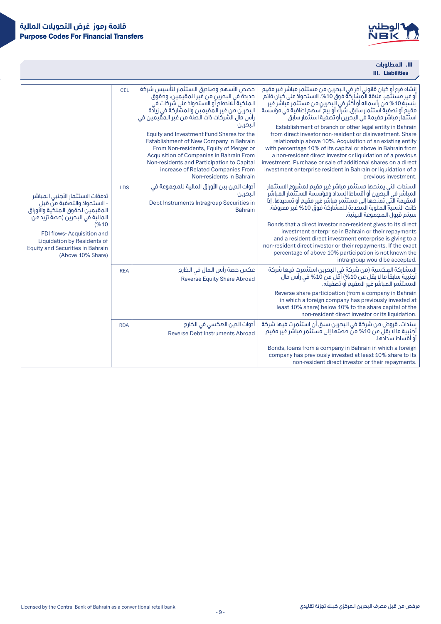

III. **المطلوبات**

.III

|                                                                                                                                                                                                                                                                            |            |                                                                                                                                                                                                                                                                                                                                                                                                                                                                                                                                            | <b>III.</b> Liabilities                                                                                                                                                                                                                                                                                                                                                                                                                                                                                                                                                                                                                                                                                                                                                                                         |
|----------------------------------------------------------------------------------------------------------------------------------------------------------------------------------------------------------------------------------------------------------------------------|------------|--------------------------------------------------------------------------------------------------------------------------------------------------------------------------------------------------------------------------------------------------------------------------------------------------------------------------------------------------------------------------------------------------------------------------------------------------------------------------------------------------------------------------------------------|-----------------------------------------------------------------------------------------------------------------------------------------------------------------------------------------------------------------------------------------------------------------------------------------------------------------------------------------------------------------------------------------------------------------------------------------------------------------------------------------------------------------------------------------------------------------------------------------------------------------------------------------------------------------------------------------------------------------------------------------------------------------------------------------------------------------|
|                                                                                                                                                                                                                                                                            | <b>CEL</b> | حصص الأسهم وصناديق الاستثمار لتأسيس شركة<br>جديدة في البحرين من غير المقيمين، وحقوق<br>الملكية لُلاندمام أو الاستحواذ على شركات في<br>البحرين من غير المقيمين والمشاركة في زيادة<br>رأس مال الشركات ذات الصلة من غير المقيمين في<br>البحرين<br>Equity and Investment Fund Shares for the<br>Establishment of New Company in Bahrain<br>From Non-residents, Equity of Merger or<br>Acquisition of Companies in Bahrain From<br>Non-residents and Participation to Capital<br>increase of Related Companies From<br>Non-residents in Bahrain | إنشاء فرع أو كيان قانوني آخر في البحرين من مستثمر مباشر غير مقيم<br>أو غير مستثَمرٍ. علاقةُ المشاركةُ فوق 10%. الاستحوادُ على كيان قائم ٰ<br>بنسبة 10% من رأسماله أو أكثر في البحرين من مستثمر مباشر غير<br>مقيم أو تصفية استثمار سابق. شرآء أو بيع أسهم إضافية في مؤسسة<br>استثمار مباشر مقيمة في البحرين أو تصفية استثمار سابق.<br>Establishment of branch or other legal entity in Bahrain<br>from direct investor non-resident or disinvestment. Share<br>relationship above 10%. Acquisition of an existing entity<br>with percentage 10% of its capital or above in Bahrain from<br>a non-resident direct investor or liquidation of a previous<br>investment. Purchase or sale of additional shares on a direct<br>investment enterprise resident in Bahrain or liquidation of a<br>previous investment. |
| تدفقات الاستثمار الأجنبي المباشر<br>- الاستحواذ والتصفية من قبل<br>المقيمين لحقوق الملكية والأوراق<br>المالية في البحرين (حصة تزيد عن<br>(%10)<br>FDI flows-Acquisition and<br>Liquidation by Residents of<br><b>Equity and Securities in Bahrain</b><br>(Above 10% Share) | <b>LDS</b> | أدوات الدين بين الأوراق المالية للمجموعة فى<br>البحرين<br>Debt Instruments Intragroup Securities in<br><b>Bahrain</b>                                                                                                                                                                                                                                                                                                                                                                                                                      | السندات التي يمنحها مستثمر مباشر غير مقيم لمشروع الاستثمار<br>المباشر في آلبحرين أو أقساط السداد ومؤسسة الاستثمار المباشر<br>المقيمة الَّتي تمنحها إلى مستثمر مباشر غير مقيم أو تسديدها. إذا<br>كانت النسبةُ المئوية المحددة للمشاركة فوق 10% غير معروفة،<br>سبتم قبول المحموعة البينية.<br>Bonds that a direct investor non-resident gives to its direct<br>investment enterprise in Bahrain or their repayments<br>and a resident direct investment enterprise is giving to a<br>non-resident direct investor or their repayments. If the exact<br>percentage of above 10% participation is not known the<br>intra-group would be accepted.                                                                                                                                                                   |
|                                                                                                                                                                                                                                                                            | <b>REA</b> | عكس حصة رأس المال في الخارج<br><b>Reverse Equity Share Abroad</b>                                                                                                                                                                                                                                                                                                                                                                                                                                                                          | المشاركة العِكسية (من شركة في البحرين استثمرت فيها شركة<br>أجنبية سابقاً ما لا يقلُ عن 10%) أقل من 10% في رأس مال<br>المستثمر المباشر غير المقيم أو تصفيته.<br>Reverse share participation (from a company in Bahrain<br>in which a foreign company has previously invested at<br>least 10% share) below 10% to the share capital of the<br>non-resident direct investor or its liquidation.                                                                                                                                                                                                                                                                                                                                                                                                                    |
|                                                                                                                                                                                                                                                                            | <b>RDA</b> | أدوات الدين العكسى في الخارج<br><b>Reverse Debt Instruments Abroad</b>                                                                                                                                                                                                                                                                                                                                                                                                                                                                     | سندات، قروض من شركة في البحرين سبق أن استثمرت فيها شركة<br>أجنبية ما لا يقل عن 10% منّ حصتها إلى مستثمر مباشر غير مقيم<br>أو أقساط سدادها.<br>Bonds, Ioans from a company in Bahrain in which a foreign<br>company has previously invested at least 10% share to its<br>non-resident direct investor or their repayments.                                                                                                                                                                                                                                                                                                                                                                                                                                                                                       |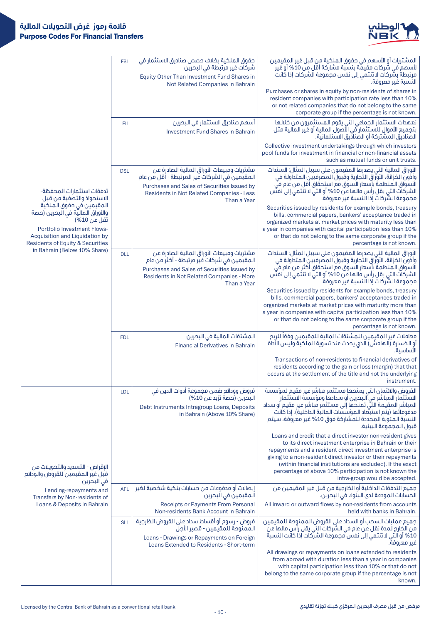

|                                                                                                                                                                                              | <b>FSL</b> | حقوق الملكية بخلاف حصص صناديق الاستثمار في<br>شركات غير مرتبطة في البحرين<br>Equity Other Than Investment Fund Shares in<br>Not Related Companies in Bahrain                                           | المشتريات أو الأسهم في حقوق الملكية من قبل غير المقيمين<br>لأسهم َّفي شُرِكات مقْيمَة بنسبة مشاركة أقل من 10% أو غير ّ<br>مرتبطة بشَّركات لا تنتمي إلى نفس مجموعة الشركات إذا كانت<br>النسبة غير معروفة.                                                                                                                                                                                                     |
|----------------------------------------------------------------------------------------------------------------------------------------------------------------------------------------------|------------|--------------------------------------------------------------------------------------------------------------------------------------------------------------------------------------------------------|--------------------------------------------------------------------------------------------------------------------------------------------------------------------------------------------------------------------------------------------------------------------------------------------------------------------------------------------------------------------------------------------------------------|
|                                                                                                                                                                                              |            |                                                                                                                                                                                                        | Purchases or shares in equity by non-residents of shares in<br>resident companies with participation rate less than 10%<br>or not related companies that do not belong to the same<br>corporate group if the percentage is not known.                                                                                                                                                                        |
|                                                                                                                                                                                              | <b>FIL</b> | أسهم صناديق الاستثمار في البحرين<br><b>Investment Fund Shares in Bahrain</b>                                                                                                                           | تعهدات الاستثمار الجماعي التي يقوم المستثمرون من خلالها<br>بتجميع الأموال للاستثمار في الَّآصُولُ المالية أو غَير المالية مثل<br>الصناديق المشتركة أو الصناديق الاستئمانية.                                                                                                                                                                                                                                  |
|                                                                                                                                                                                              |            |                                                                                                                                                                                                        | Collective investment undertakings through which investors<br>pool funds for investment in financial or non-financial assets<br>such as mutual funds or unit trusts.                                                                                                                                                                                                                                         |
| تدفقات استثمارات المحفظة-<br>الاستحواذ والتصفية من قبل                                                                                                                                       | <b>DSL</b> | مشتريات ومبيعات الأوراق المالية الصادرة عن<br>المقيمين في الشركات غير المرتبطة - أقل من عام<br>Purchases and Sales of Securities Issued by<br>Residents in Not Related Companies - Less<br>Than a Year | الأوراق المالية التي يصدرها المقيمون على سبيل المثال: السندات<br>وأذون الخزانة، الأوراق التجارية وقبول المصرفيين المتداولة في<br>الأسواق المنظمة بأسعار السوق مع استحقاق أقل من عام في<br>الشركات التي يقل رأس مالها عن 10% أو التي لا تنتمي إلى نفسً<br>مجموعة الشركات إذا النسبة غير معروفة.                                                                                                               |
| المقيمين في حقوق الملكية<br>والأوراق الماليّة في البحرين (حصة<br>تقل عن 10%)<br>Portfolio Investment Flows-<br>Acquisition and Liquidation by<br><b>Residents of Equity &amp; Securities</b> |            |                                                                                                                                                                                                        | Securities issued by residents for example bonds, treasury<br>bills, commercial papers, bankers' acceptance traded in<br>organized markets at market prices with maturity less than<br>a year in companies with capital participation less than 10%<br>or that do not belong to the same corporate group if the<br>percentage is not known.                                                                  |
| in Bahrain (Below 10% Share)                                                                                                                                                                 | <b>DLL</b> | مشتريات ومبيعات الأوراق المالية الصادرة عن<br>المقيمين في شركات فير مرتبطة - أكثر من عام<br>Purchases and Sales of Securities Issued by<br>Residents in Not Related Companies - More<br>Than a Year    | الأوراق المالية التي يصدرها المقيمون على سبيل المثال: السندات<br>وأذون الخزانة، الأوراق التجارية وقبول المصرفيين المتداولة في<br>الأسواق المنظمة بأسعار السوق مع استحقاق أكثر من عام في<br>الشركات التي يقل رأس مالـها عن 10% أو التي لا تنتمي إلى نفسّ<br>مجموعة الشَّركات إذا النسبة غير معروفة.                                                                                                           |
|                                                                                                                                                                                              |            |                                                                                                                                                                                                        | Securities issued by residents for example bonds, treasury<br>bills, commercial papers, bankers' acceptances traded in<br>organized markets at market prices with maturity more than<br>a year in companies with capital participation less than 10%<br>or that do not belong to the same corporate group if the<br>percentage is not known.                                                                 |
|                                                                                                                                                                                              | <b>FDL</b> | المشتقات المالية في البحرين<br><b>Financial Derivatives in Bahrain</b>                                                                                                                                 | معاملات غير المقيمين للمشتقات المالية للمقيمين وفقاً للربح<br>أو الخسارة (الـهامش) الَّذي يحدث عند تسوية الملكيَّة وليس الأداة<br>الأساسىة.                                                                                                                                                                                                                                                                  |
|                                                                                                                                                                                              |            |                                                                                                                                                                                                        | Transactions of non-residents to financial derivatives of<br>residents according to the gain or loss (margin) that that<br>occurs at the settlement of the title and not the underlying<br>instrument.                                                                                                                                                                                                       |
|                                                                                                                                                                                              | <b>LDL</b> | قروض وودائع ضمن مجموعة أدوات الدين في<br>البحرين (حصة تزيد عن 10%)<br>Debt Instruments Intragroup Loans, Deposits<br>in Bahrain (Above 10% Share)                                                      | القروض والائتمان التى يمنحها مستثمر مباشر غير مقيم لمؤسسة<br>الاستثمار المباشر في البحرين أو سدادها ومؤسسة الاستثمار<br>المباشر المقيمة التي تمنحها إلى مستثمر مباشر غير مقيم أو سداد<br>مدفوعاتها (يتم استبعاد المؤسسات المالية الداخلية). إذا كانت<br>النسبة المئوية المحددة للمشاركة فوق 10% غير معروفة، سيتم<br>قبول المجموعة البينية.                                                                   |
| الإقراض - التسديد والتحويلات من<br>قبل غير المقيمين للقروض والودائع<br>في البحرين                                                                                                            |            |                                                                                                                                                                                                        | Loans and credit that a direct investor non-resident gives<br>to its direct investment enterprise in Bahrain or their<br>repayments and a resident direct investment enterprise is<br>giving to a non-resident direct investor or their repayments<br>(within financial institutions are excluded). If the exact<br>percentage of above 10% participation is not known the<br>intra-group would be accepted. |
| Lending-repayments and<br>Transfers by Non-residents of                                                                                                                                      | <b>AFL</b> | إيصالات أو مدفوعات من حسابات بنكية شخصية لغير<br>المقيمين فى البحرين                                                                                                                                   | جميع التدفقات الداخلية أو الخارجية من قبل غير المقيمين من<br>الحسَّابات المودعة لدى البنَّوك في البحرين.                                                                                                                                                                                                                                                                                                     |
| Loans & Deposits in Bahrain                                                                                                                                                                  |            | Receipts or Payments From Personal<br>Non-residents Bank Account in Bahrain                                                                                                                            | All inward or outward flows by non-residents from accounts<br>held with banks in Bahrain.                                                                                                                                                                                                                                                                                                                    |
|                                                                                                                                                                                              | <b>SLL</b> | قروض - رسوم أو أقساط سداد على القروض الخارجية<br>الممنوحة للمقيمين - قصير الأجل<br>Loans - Drawings or Repayments on Foreign<br>Loans Extended to Residents - Short-term                               | جميع عمليات السحب أو السداد على القروض الممنوحة للمقيمين<br>من الظارج لمدة تقل عن عام في الشّركات التّي يقل رأس مالها عن ۖ<br>10% أو التي لا تنتمي إلى نفس مجموعة الشركات إذا كانت النسبة<br>غير معروفة.                                                                                                                                                                                                     |
|                                                                                                                                                                                              |            |                                                                                                                                                                                                        | All drawings or repayments on loans extended to residents<br>from abroad with duration less than a year in companies<br>with capital participation less than 10% or that do not<br>belong to the same corporate group if the percentage is not<br>known.                                                                                                                                                     |